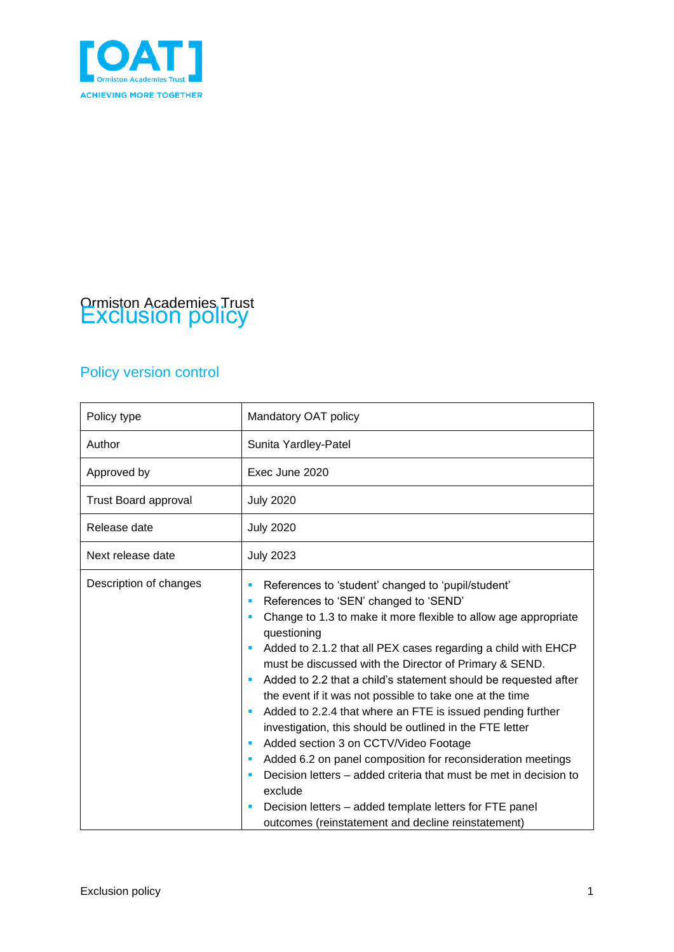

# Ormiston Academies Trust Exclusion policy

### Policy version control

| Policy type                 | Mandatory OAT policy                                                                                                                                                                                                                                                                                                                                                                                                                                                                                                                                                                                                                                                                                                                                                                                                                                                                                |
|-----------------------------|-----------------------------------------------------------------------------------------------------------------------------------------------------------------------------------------------------------------------------------------------------------------------------------------------------------------------------------------------------------------------------------------------------------------------------------------------------------------------------------------------------------------------------------------------------------------------------------------------------------------------------------------------------------------------------------------------------------------------------------------------------------------------------------------------------------------------------------------------------------------------------------------------------|
| Author                      | Sunita Yardley-Patel                                                                                                                                                                                                                                                                                                                                                                                                                                                                                                                                                                                                                                                                                                                                                                                                                                                                                |
| Approved by                 | Exec June 2020                                                                                                                                                                                                                                                                                                                                                                                                                                                                                                                                                                                                                                                                                                                                                                                                                                                                                      |
| <b>Trust Board approval</b> | <b>July 2020</b>                                                                                                                                                                                                                                                                                                                                                                                                                                                                                                                                                                                                                                                                                                                                                                                                                                                                                    |
| Release date                | <b>July 2020</b>                                                                                                                                                                                                                                                                                                                                                                                                                                                                                                                                                                                                                                                                                                                                                                                                                                                                                    |
| Next release date           | <b>July 2023</b>                                                                                                                                                                                                                                                                                                                                                                                                                                                                                                                                                                                                                                                                                                                                                                                                                                                                                    |
| Description of changes      | References to 'student' changed to 'pupil/student'<br>п<br>References to 'SEN' changed to 'SEND'<br>п<br>Change to 1.3 to make it more flexible to allow age appropriate<br>п<br>questioning<br>Added to 2.1.2 that all PEX cases regarding a child with EHCP<br>must be discussed with the Director of Primary & SEND.<br>Added to 2.2 that a child's statement should be requested after<br>the event if it was not possible to take one at the time<br>Added to 2.2.4 that where an FTE is issued pending further<br>investigation, this should be outlined in the FTE letter<br>Added section 3 on CCTV/Video Footage<br>ш<br>Added 6.2 on panel composition for reconsideration meetings<br>ш<br>Decision letters – added criteria that must be met in decision to<br>exclude<br>Decision letters – added template letters for FTE panel<br>outcomes (reinstatement and decline reinstatement) |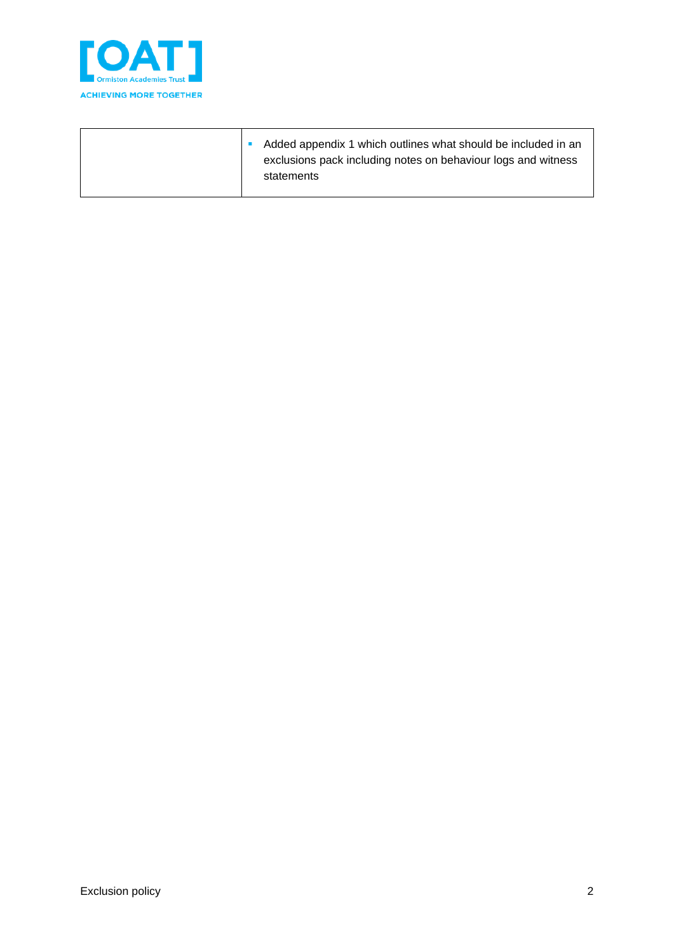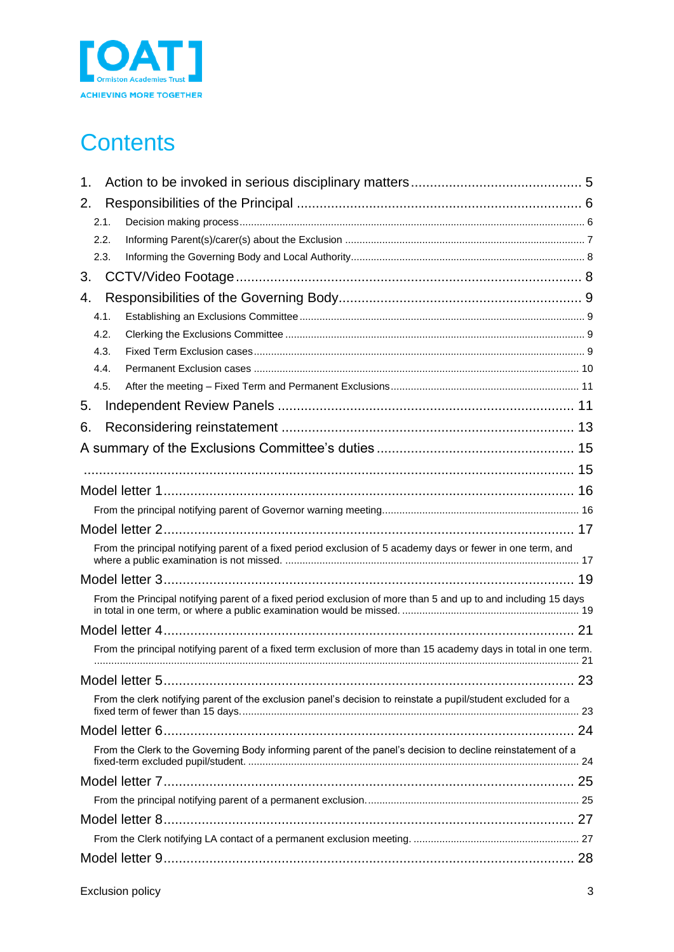

## **Contents**

| 1.                                                                                                               |  |
|------------------------------------------------------------------------------------------------------------------|--|
| 2.                                                                                                               |  |
| 2.1.                                                                                                             |  |
| 2.2.                                                                                                             |  |
| 2.3.                                                                                                             |  |
| 3.                                                                                                               |  |
| 4.                                                                                                               |  |
| 4.1.                                                                                                             |  |
| 4.2.                                                                                                             |  |
| 4.3.                                                                                                             |  |
| 4.4.                                                                                                             |  |
| 4.5.                                                                                                             |  |
| 5.                                                                                                               |  |
| 6.                                                                                                               |  |
|                                                                                                                  |  |
|                                                                                                                  |  |
|                                                                                                                  |  |
|                                                                                                                  |  |
|                                                                                                                  |  |
| From the principal notifying parent of a fixed period exclusion of 5 academy days or fewer in one term, and      |  |
|                                                                                                                  |  |
| From the Principal notifying parent of a fixed period exclusion of more than 5 and up to and including 15 days   |  |
|                                                                                                                  |  |
| From the principal notifying parent of a fixed term exclusion of more than 15 academy days in total in one term. |  |
|                                                                                                                  |  |
| From the clerk notifying parent of the exclusion panel's decision to reinstate a pupil/student excluded for a    |  |
|                                                                                                                  |  |
| From the Clerk to the Governing Body informing parent of the panel's decision to decline reinstatement of a      |  |
|                                                                                                                  |  |
|                                                                                                                  |  |
|                                                                                                                  |  |
|                                                                                                                  |  |
|                                                                                                                  |  |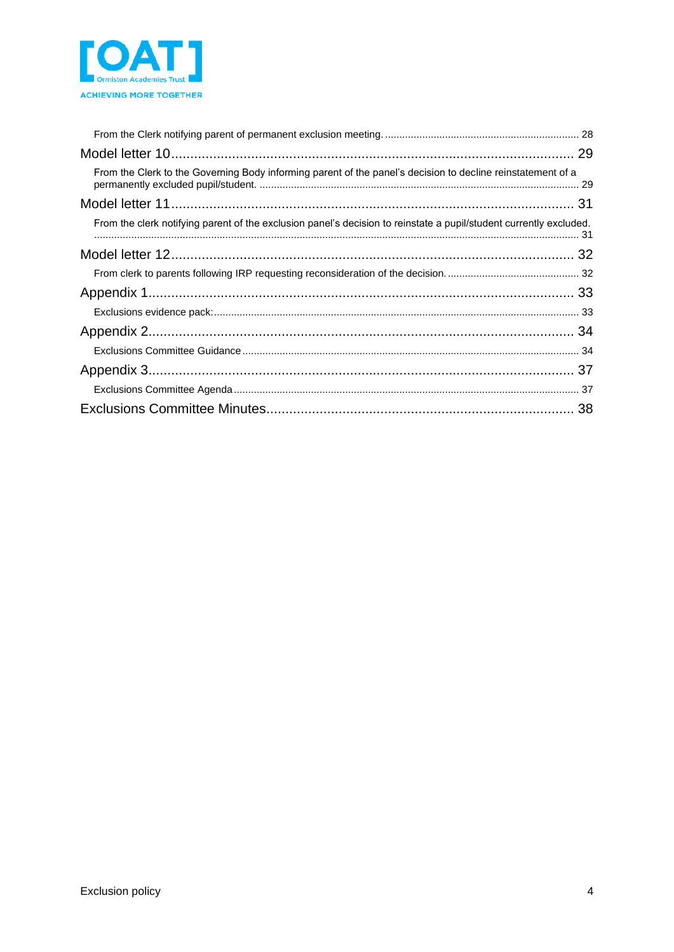

| From the Clerk to the Governing Body informing parent of the panel's decision to decline reinstatement of a        |  |
|--------------------------------------------------------------------------------------------------------------------|--|
|                                                                                                                    |  |
| From the clerk notifying parent of the exclusion panel's decision to reinstate a pupil/student currently excluded. |  |
|                                                                                                                    |  |
|                                                                                                                    |  |
|                                                                                                                    |  |
|                                                                                                                    |  |
|                                                                                                                    |  |
|                                                                                                                    |  |
|                                                                                                                    |  |
|                                                                                                                    |  |
|                                                                                                                    |  |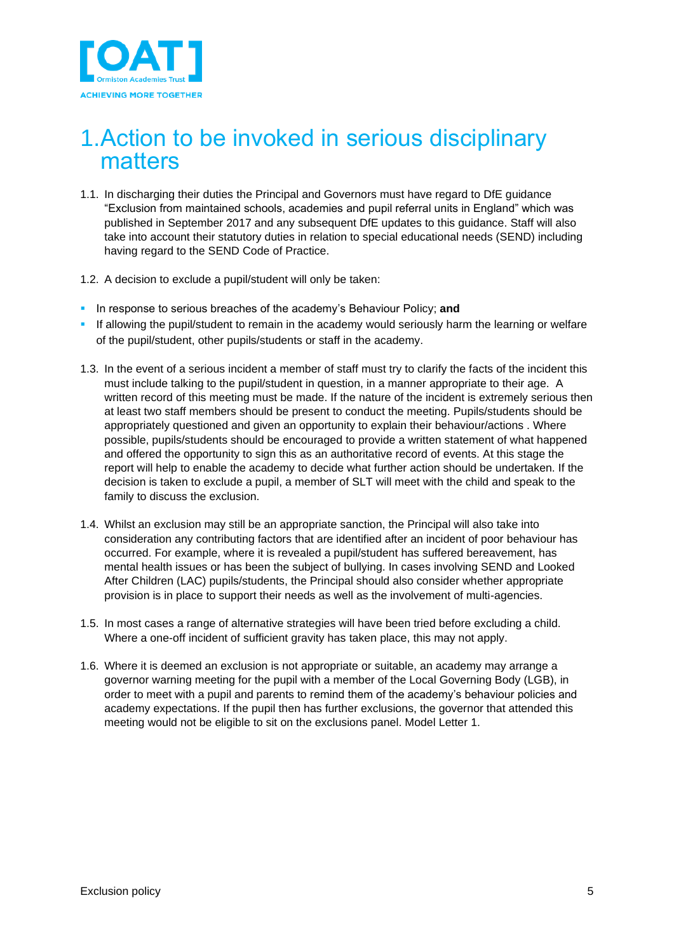

### <span id="page-4-0"></span>1.Action to be invoked in serious disciplinary matters

- 1.1. In discharging their duties the Principal and Governors must have regard to DfE guidance "Exclusion from maintained schools, academies and pupil referral units in England" which was published in September 2017 and any subsequent DfE updates to this guidance. Staff will also take into account their statutory duties in relation to special educational needs (SEND) including having regard to the SEND Code of Practice.
- 1.2. A decision to exclude a pupil/student will only be taken:
- **.** In response to serious breaches of the academy's Behaviour Policy; and
- **.** If allowing the pupil/student to remain in the academy would seriously harm the learning or welfare of the pupil/student, other pupils/students or staff in the academy.
- 1.3. In the event of a serious incident a member of staff must try to clarify the facts of the incident this must include talking to the pupil/student in question, in a manner appropriate to their age. A written record of this meeting must be made. If the nature of the incident is extremely serious then at least two staff members should be present to conduct the meeting. Pupils/students should be appropriately questioned and given an opportunity to explain their behaviour/actions . Where possible, pupils/students should be encouraged to provide a written statement of what happened and offered the opportunity to sign this as an authoritative record of events. At this stage the report will help to enable the academy to decide what further action should be undertaken. If the decision is taken to exclude a pupil, a member of SLT will meet with the child and speak to the family to discuss the exclusion.
- 1.4. Whilst an exclusion may still be an appropriate sanction, the Principal will also take into consideration any contributing factors that are identified after an incident of poor behaviour has occurred. For example, where it is revealed a pupil/student has suffered bereavement, has mental health issues or has been the subject of bullying. In cases involving SEND and Looked After Children (LAC) pupils/students, the Principal should also consider whether appropriate provision is in place to support their needs as well as the involvement of multi-agencies.
- 1.5. In most cases a range of alternative strategies will have been tried before excluding a child. Where a one-off incident of sufficient gravity has taken place, this may not apply.
- 1.6. Where it is deemed an exclusion is not appropriate or suitable, an academy may arrange a governor warning meeting for the pupil with a member of the Local Governing Body (LGB), in order to meet with a pupil and parents to remind them of the academy's behaviour policies and academy expectations. If the pupil then has further exclusions, the governor that attended this meeting would not be eligible to sit on the exclusions panel. Model Letter 1.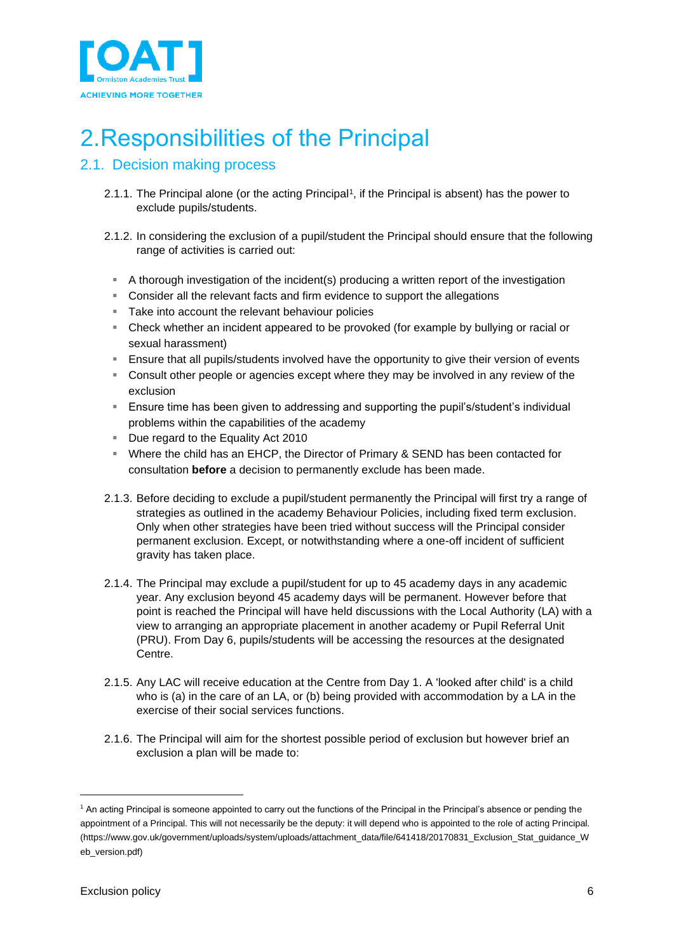

## <span id="page-5-0"></span>2.Responsibilities of the Principal

### <span id="page-5-1"></span>2.1. Decision making process

- 2.1.1. The Principal alone (or the acting Principal<sup>1</sup>, if the Principal is absent) has the power to exclude pupils/students.
- 2.1.2. In considering the exclusion of a pupil/student the Principal should ensure that the following range of activities is carried out:
	- A thorough investigation of the incident(s) producing a written report of the investigation
	- Consider all the relevant facts and firm evidence to support the allegations
	- Take into account the relevant behaviour policies
	- Check whether an incident appeared to be provoked (for example by bullying or racial or sexual harassment)
	- **E** Ensure that all pupils/students involved have the opportunity to give their version of events
	- **EX Consult other people or agencies except where they may be involved in any review of the** exclusion
	- Ensure time has been given to addressing and supporting the pupil's/student's individual problems within the capabilities of the academy
	- Due regard to the Equality Act 2010
	- Where the child has an EHCP, the Director of Primary & SEND has been contacted for consultation **before** a decision to permanently exclude has been made.
- 2.1.3. Before deciding to exclude a pupil/student permanently the Principal will first try a range of strategies as outlined in the academy Behaviour Policies, including fixed term exclusion. Only when other strategies have been tried without success will the Principal consider permanent exclusion. Except, or notwithstanding where a one-off incident of sufficient gravity has taken place.
- 2.1.4. The Principal may exclude a pupil/student for up to 45 academy days in any academic year. Any exclusion beyond 45 academy days will be permanent. However before that point is reached the Principal will have held discussions with the Local Authority (LA) with a view to arranging an appropriate placement in another academy or Pupil Referral Unit (PRU). From Day 6, pupils/students will be accessing the resources at the designated Centre.
- 2.1.5. Any LAC will receive education at the Centre from Day 1. A 'looked after child' is a child who is (a) in the care of an LA, or (b) being provided with accommodation by a LA in the exercise of their social services functions.
- 2.1.6. The Principal will aim for the shortest possible period of exclusion but however brief an exclusion a plan will be made to:

<sup>1</sup> An acting Principal is someone appointed to carry out the functions of the Principal in the Principal's absence or pending the appointment of a Principal. This will not necessarily be the deputy: it will depend who is appointed to the role of acting Principal. (https://www.gov.uk/government/uploads/system/uploads/attachment\_data/file/641418/20170831\_Exclusion\_Stat\_guidance\_W eb\_version.pdf)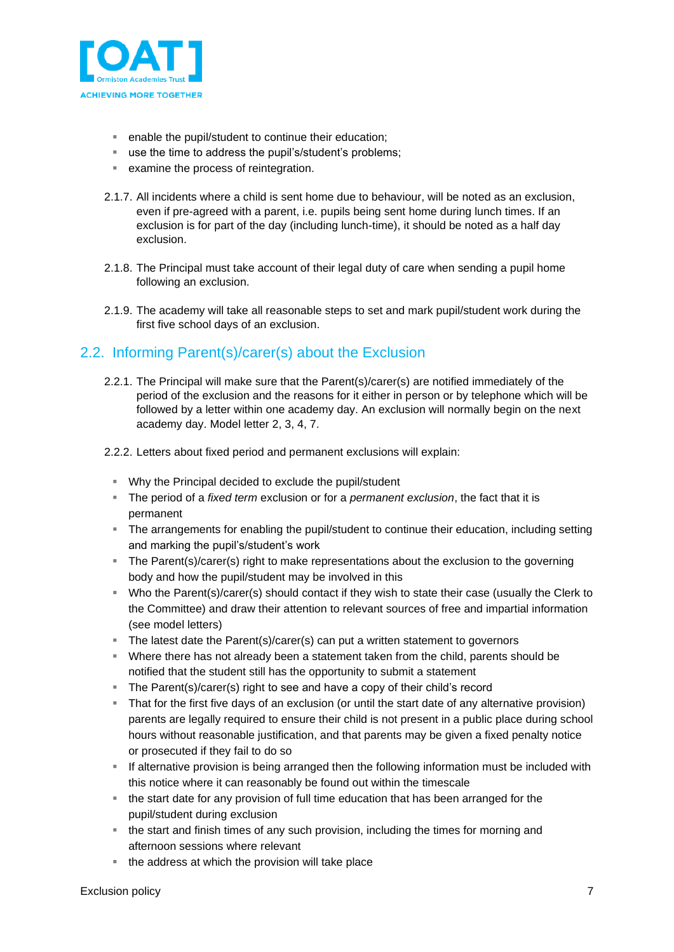

- enable the pupil/student to continue their education;
- use the time to address the pupil's/student's problems;
- examine the process of reintegration.
- 2.1.7. All incidents where a child is sent home due to behaviour, will be noted as an exclusion, even if pre-agreed with a parent, i.e. pupils being sent home during lunch times. If an exclusion is for part of the day (including lunch-time), it should be noted as a half day exclusion.
- 2.1.8. The Principal must take account of their legal duty of care when sending a pupil home following an exclusion.
- 2.1.9. The academy will take all reasonable steps to set and mark pupil/student work during the first five school days of an exclusion.

### <span id="page-6-0"></span>2.2. Informing Parent(s)/carer(s) about the Exclusion

- 2.2.1. The Principal will make sure that the Parent(s)/carer(s) are notified immediately of the period of the exclusion and the reasons for it either in person or by telephone which will be followed by a letter within one academy day. An exclusion will normally begin on the next academy day. Model letter 2, 3, 4, 7.
- 2.2.2. Letters about fixed period and permanent exclusions will explain:
	- Why the Principal decided to exclude the pupil/student
	- The period of a *fixed term* exclusion or for a *permanent exclusion*, the fact that it is permanent
	- **EXT** The arrangements for enabling the pupil/student to continue their education, including setting and marking the pupil's/student's work
	- **The Parent(s)/carer(s) right to make representations about the exclusion to the governing** body and how the pupil/student may be involved in this
	- Who the Parent(s)/carer(s) should contact if they wish to state their case (usually the Clerk to the Committee) and draw their attention to relevant sources of free and impartial information (see model letters)
	- The latest date the Parent(s)/carer(s) can put a written statement to governors
	- Where there has not already been a statement taken from the child, parents should be notified that the student still has the opportunity to submit a statement
	- The Parent(s)/carer(s) right to see and have a copy of their child's record
	- **That for the first five days of an exclusion (or until the start date of any alternative provision)** parents are legally required to ensure their child is not present in a public place during school hours without reasonable justification, and that parents may be given a fixed penalty notice or prosecuted if they fail to do so
	- **EXECT** If alternative provision is being arranged then the following information must be included with this notice where it can reasonably be found out within the timescale
	- the start date for any provision of full time education that has been arranged for the pupil/student during exclusion
	- the start and finish times of any such provision, including the times for morning and afternoon sessions where relevant
	- the address at which the provision will take place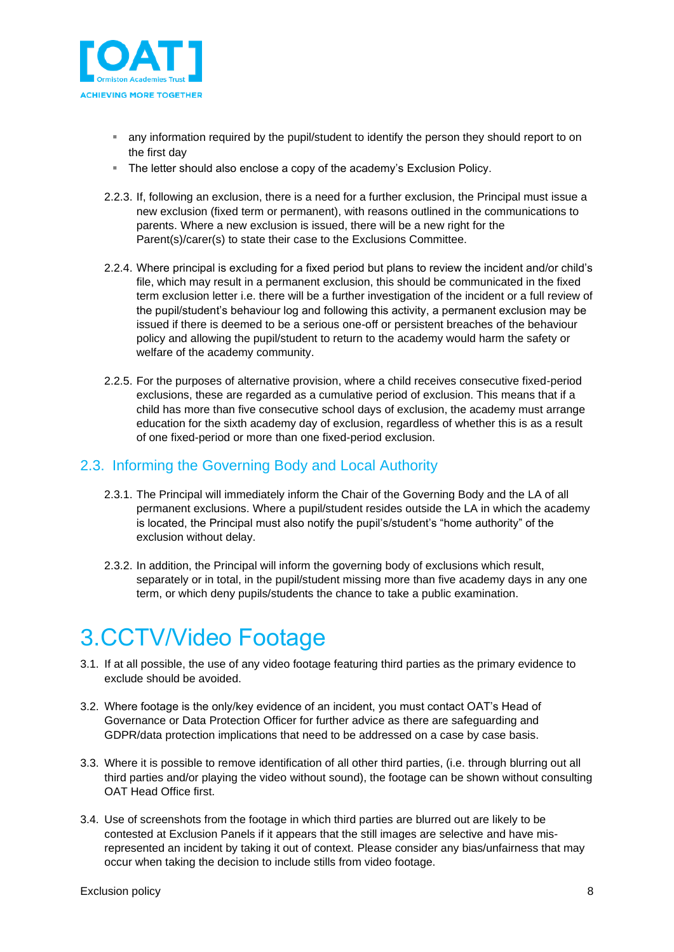

- **E** any information required by the pupil/student to identify the person they should report to on the first day
- The letter should also enclose a copy of the academy's Exclusion Policy.
- 2.2.3. If, following an exclusion, there is a need for a further exclusion, the Principal must issue a new exclusion (fixed term or permanent), with reasons outlined in the communications to parents. Where a new exclusion is issued, there will be a new right for the Parent(s)/carer(s) to state their case to the Exclusions Committee.
- 2.2.4. Where principal is excluding for a fixed period but plans to review the incident and/or child's file, which may result in a permanent exclusion, this should be communicated in the fixed term exclusion letter i.e. there will be a further investigation of the incident or a full review of the pupil/student's behaviour log and following this activity, a permanent exclusion may be issued if there is deemed to be a serious one-off or persistent breaches of the behaviour policy and allowing the pupil/student to return to the academy would harm the safety or welfare of the academy community.
- 2.2.5. For the purposes of alternative provision, where a child receives consecutive fixed-period exclusions, these are regarded as a cumulative period of exclusion. This means that if a child has more than five consecutive school days of exclusion, the academy must arrange education for the sixth academy day of exclusion, regardless of whether this is as a result of one fixed-period or more than one fixed-period exclusion.

### <span id="page-7-0"></span>2.3. Informing the Governing Body and Local Authority

- 2.3.1. The Principal will immediately inform the Chair of the Governing Body and the LA of all permanent exclusions. Where a pupil/student resides outside the LA in which the academy is located, the Principal must also notify the pupil's/student's "home authority" of the exclusion without delay.
- 2.3.2. In addition, the Principal will inform the governing body of exclusions which result, separately or in total, in the pupil/student missing more than five academy days in any one term, or which deny pupils/students the chance to take a public examination.

## <span id="page-7-1"></span>3.CCTV/Video Footage

- 3.1. If at all possible, the use of any video footage featuring third parties as the primary evidence to exclude should be avoided.
- 3.2. Where footage is the only/key evidence of an incident, you must contact OAT's Head of Governance or Data Protection Officer for further advice as there are safeguarding and GDPR/data protection implications that need to be addressed on a case by case basis.
- 3.3. Where it is possible to remove identification of all other third parties, (i.e. through blurring out all third parties and/or playing the video without sound), the footage can be shown without consulting OAT Head Office first.
- 3.4. Use of screenshots from the footage in which third parties are blurred out are likely to be contested at Exclusion Panels if it appears that the still images are selective and have misrepresented an incident by taking it out of context. Please consider any bias/unfairness that may occur when taking the decision to include stills from video footage.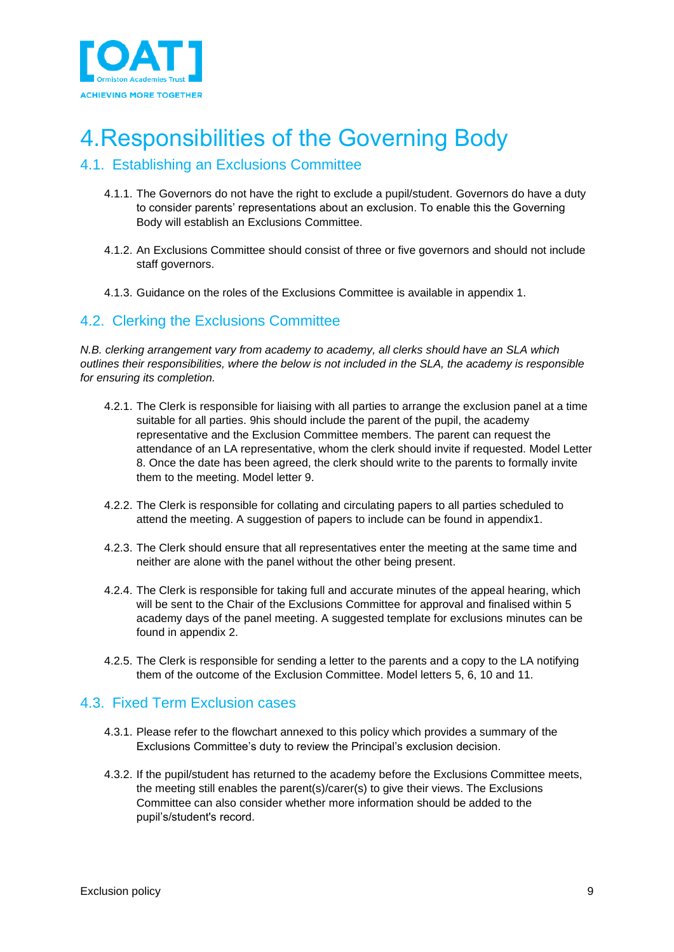

## <span id="page-8-0"></span>4.Responsibilities of the Governing Body

### <span id="page-8-1"></span>4.1. Establishing an Exclusions Committee

- 4.1.1. The Governors do not have the right to exclude a pupil/student. Governors do have a duty to consider parents' representations about an exclusion. To enable this the Governing Body will establish an Exclusions Committee.
- 4.1.2. An Exclusions Committee should consist of three or five governors and should not include staff governors.
- 4.1.3. Guidance on the roles of the Exclusions Committee is available in appendix 1.

### <span id="page-8-2"></span>4.2. Clerking the Exclusions Committee

*N.B. clerking arrangement vary from academy to academy, all clerks should have an SLA which outlines their responsibilities, where the below is not included in the SLA, the academy is responsible for ensuring its completion.* 

- 4.2.1. The Clerk is responsible for liaising with all parties to arrange the exclusion panel at a time suitable for all parties. 9his should include the parent of the pupil, the academy representative and the Exclusion Committee members. The parent can request the attendance of an LA representative, whom the clerk should invite if requested. Model Letter 8. Once the date has been agreed, the clerk should write to the parents to formally invite them to the meeting. Model letter 9.
- 4.2.2. The Clerk is responsible for collating and circulating papers to all parties scheduled to attend the meeting. A suggestion of papers to include can be found in appendix1.
- 4.2.3. The Clerk should ensure that all representatives enter the meeting at the same time and neither are alone with the panel without the other being present.
- 4.2.4. The Clerk is responsible for taking full and accurate minutes of the appeal hearing, which will be sent to the Chair of the Exclusions Committee for approval and finalised within 5 academy days of the panel meeting. A suggested template for exclusions minutes can be found in appendix 2.
- 4.2.5. The Clerk is responsible for sending a letter to the parents and a copy to the LA notifying them of the outcome of the Exclusion Committee. Model letters 5, 6, 10 and 11.

### <span id="page-8-3"></span>4.3. Fixed Term Exclusion cases

- 4.3.1. Please refer to the flowchart annexed to this policy which provides a summary of the Exclusions Committee's duty to review the Principal's exclusion decision.
- 4.3.2. If the pupil/student has returned to the academy before the Exclusions Committee meets, the meeting still enables the parent(s)/carer(s) to give their views. The Exclusions Committee can also consider whether more information should be added to the pupil's/student's record.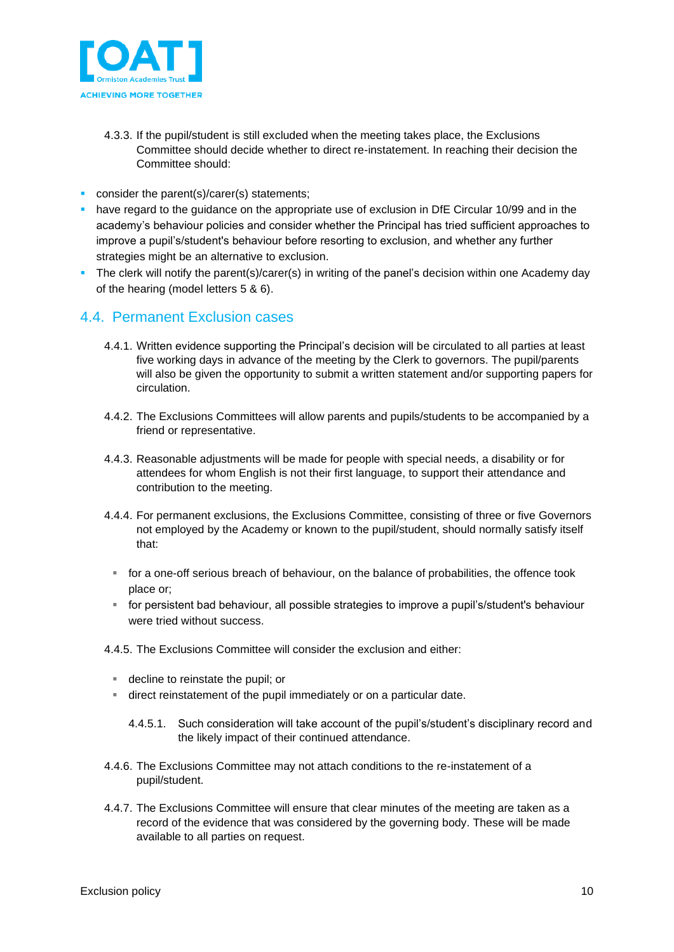

- 4.3.3. If the pupil/student is still excluded when the meeting takes place, the Exclusions Committee should decide whether to direct re-instatement. In reaching their decision the Committee should:
- **•** consider the parent(s)/carer(s) statements;
- **have regard to the guidance on the appropriate use of exclusion in DfE Circular 10/99 and in the** academy's behaviour policies and consider whether the Principal has tried sufficient approaches to improve a pupil's/student's behaviour before resorting to exclusion, and whether any further strategies might be an alternative to exclusion.
- The clerk will notify the parent(s)/carer(s) in writing of the panel's decision within one Academy day of the hearing (model letters 5 & 6).

### <span id="page-9-0"></span>4.4. Permanent Exclusion cases

- 4.4.1. Written evidence supporting the Principal's decision will be circulated to all parties at least five working days in advance of the meeting by the Clerk to governors. The pupil/parents will also be given the opportunity to submit a written statement and/or supporting papers for circulation.
- 4.4.2. The Exclusions Committees will allow parents and pupils/students to be accompanied by a friend or representative.
- 4.4.3. Reasonable adjustments will be made for people with special needs, a disability or for attendees for whom English is not their first language, to support their attendance and contribution to the meeting.
- 4.4.4. For permanent exclusions, the Exclusions Committee, consisting of three or five Governors not employed by the Academy or known to the pupil/student, should normally satisfy itself that:
	- for a one-off serious breach of behaviour, on the balance of probabilities, the offence took place or;
	- for persistent bad behaviour, all possible strategies to improve a pupil's/student's behaviour were tried without success.
- 4.4.5. The Exclusions Committee will consider the exclusion and either:
	- decline to reinstate the pupil; or
	- direct reinstatement of the pupil immediately or on a particular date.
		- 4.4.5.1. Such consideration will take account of the pupil's/student's disciplinary record and the likely impact of their continued attendance.
- 4.4.6. The Exclusions Committee may not attach conditions to the re-instatement of a pupil/student.
- 4.4.7. The Exclusions Committee will ensure that clear minutes of the meeting are taken as a record of the evidence that was considered by the governing body. These will be made available to all parties on request.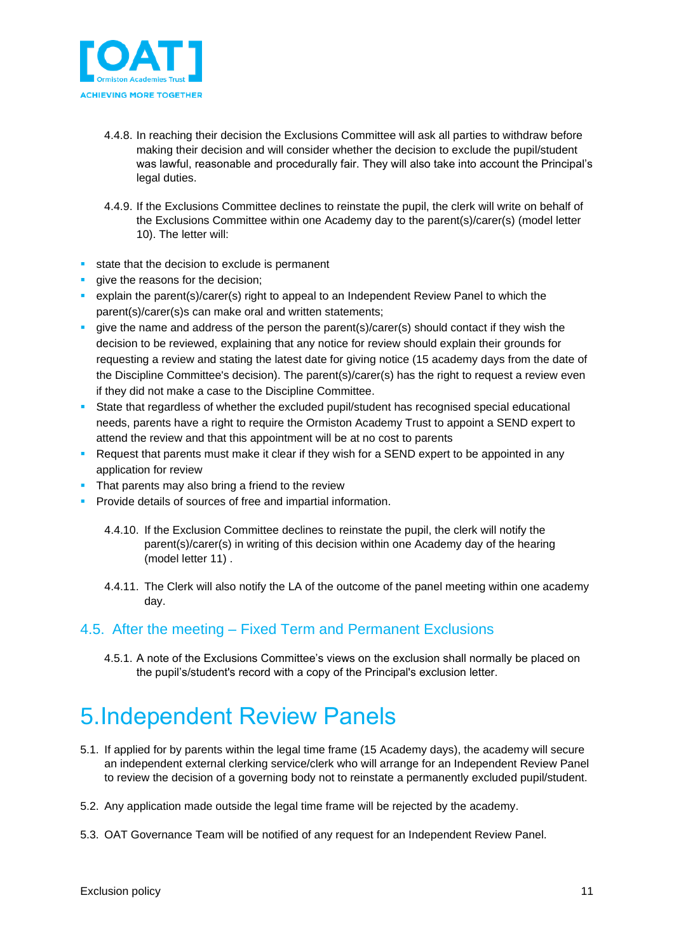

- 4.4.8. In reaching their decision the Exclusions Committee will ask all parties to withdraw before making their decision and will consider whether the decision to exclude the pupil/student was lawful, reasonable and procedurally fair. They will also take into account the Principal's legal duties.
- 4.4.9. If the Exclusions Committee declines to reinstate the pupil, the clerk will write on behalf of the Exclusions Committee within one Academy day to the parent(s)/carer(s) (model letter 10). The letter will:
- state that the decision to exclude is permanent
- give the reasons for the decision;
- **•** explain the parent(s)/carer(s) right to appeal to an Independent Review Panel to which the parent(s)/carer(s)s can make oral and written statements;
- give the name and address of the person the parent(s)/carer(s) should contact if they wish the decision to be reviewed, explaining that any notice for review should explain their grounds for requesting a review and stating the latest date for giving notice (15 academy days from the date of the Discipline Committee's decision). The parent(s)/carer(s) has the right to request a review even if they did not make a case to the Discipline Committee.
- State that regardless of whether the excluded pupil/student has recognised special educational needs, parents have a right to require the Ormiston Academy Trust to appoint a SEND expert to attend the review and that this appointment will be at no cost to parents
- Request that parents must make it clear if they wish for a SEND expert to be appointed in any application for review
- **•** That parents may also bring a friend to the review
- **Provide details of sources of free and impartial information.** 
	- 4.4.10. If the Exclusion Committee declines to reinstate the pupil, the clerk will notify the parent(s)/carer(s) in writing of this decision within one Academy day of the hearing (model letter 11) .
	- 4.4.11. The Clerk will also notify the LA of the outcome of the panel meeting within one academy day.

### <span id="page-10-0"></span>4.5. After the meeting – Fixed Term and Permanent Exclusions

4.5.1. A note of the Exclusions Committee's views on the exclusion shall normally be placed on the pupil's/student's record with a copy of the Principal's exclusion letter.

## <span id="page-10-1"></span>5.Independent Review Panels

- 5.1. If applied for by parents within the legal time frame (15 Academy days), the academy will secure an independent external clerking service/clerk who will arrange for an Independent Review Panel to review the decision of a governing body not to reinstate a permanently excluded pupil/student.
- 5.2. Any application made outside the legal time frame will be rejected by the academy.
- 5.3. OAT Governance Team will be notified of any request for an Independent Review Panel.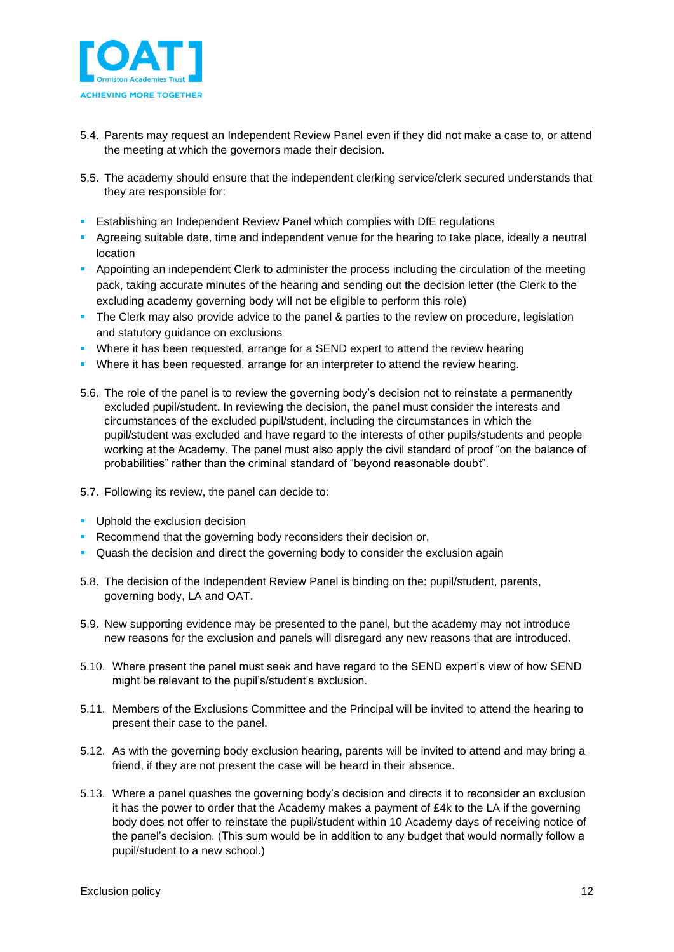

- 5.4. Parents may request an Independent Review Panel even if they did not make a case to, or attend the meeting at which the governors made their decision.
- 5.5. The academy should ensure that the independent clerking service/clerk secured understands that they are responsible for:
- **EXECT** Establishing an Independent Review Panel which complies with DfE regulations
- **•** Agreeing suitable date, time and independent venue for the hearing to take place, ideally a neutral location
- **E** Appointing an independent Clerk to administer the process including the circulation of the meeting pack, taking accurate minutes of the hearing and sending out the decision letter (the Clerk to the excluding academy governing body will not be eligible to perform this role)
- The Clerk may also provide advice to the panel & parties to the review on procedure, legislation and statutory guidance on exclusions
- **Where it has been requested, arrange for a SEND expert to attend the review hearing**
- **Where it has been requested, arrange for an interpreter to attend the review hearing.**
- 5.6. The role of the panel is to review the governing body's decision not to reinstate a permanently excluded pupil/student. In reviewing the decision, the panel must consider the interests and circumstances of the excluded pupil/student, including the circumstances in which the pupil/student was excluded and have regard to the interests of other pupils/students and people working at the Academy. The panel must also apply the civil standard of proof "on the balance of probabilities" rather than the criminal standard of "beyond reasonable doubt".
- 5.7. Following its review, the panel can decide to:
- **•** Uphold the exclusion decision
- **Recommend that the governing body reconsiders their decision or,**
- Quash the decision and direct the governing body to consider the exclusion again
- 5.8. The decision of the Independent Review Panel is binding on the: pupil/student, parents, governing body, LA and OAT.
- 5.9. New supporting evidence may be presented to the panel, but the academy may not introduce new reasons for the exclusion and panels will disregard any new reasons that are introduced.
- 5.10. Where present the panel must seek and have regard to the SEND expert's view of how SEND might be relevant to the pupil's/student's exclusion.
- 5.11. Members of the Exclusions Committee and the Principal will be invited to attend the hearing to present their case to the panel.
- 5.12. As with the governing body exclusion hearing, parents will be invited to attend and may bring a friend, if they are not present the case will be heard in their absence.
- 5.13. Where a panel quashes the governing body's decision and directs it to reconsider an exclusion it has the power to order that the Academy makes a payment of £4k to the LA if the governing body does not offer to reinstate the pupil/student within 10 Academy days of receiving notice of the panel's decision. (This sum would be in addition to any budget that would normally follow a pupil/student to a new school.)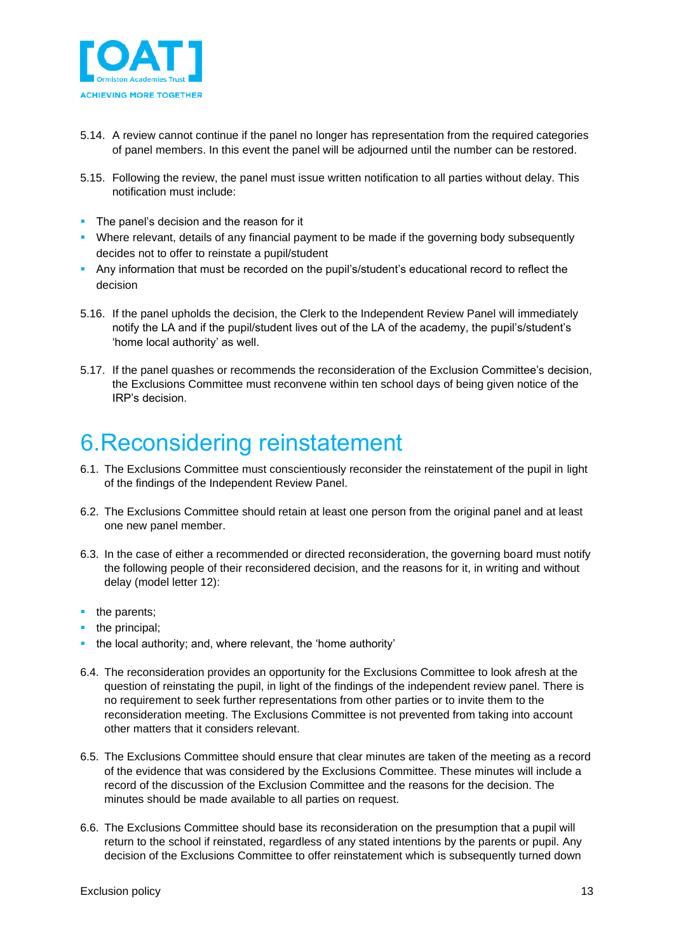

- 5.14. A review cannot continue if the panel no longer has representation from the required categories of panel members. In this event the panel will be adjourned until the number can be restored.
- 5.15. Following the review, the panel must issue written notification to all parties without delay. This notification must include:
- The panel's decision and the reason for it
- Where relevant, details of any financial payment to be made if the governing body subsequently decides not to offer to reinstate a pupil/student
- Any information that must be recorded on the pupil's/student's educational record to reflect the decision
- 5.16. If the panel upholds the decision, the Clerk to the Independent Review Panel will immediately notify the LA and if the pupil/student lives out of the LA of the academy, the pupil's/student's 'home local authority' as well.
- 5.17. If the panel quashes or recommends the reconsideration of the Exclusion Committee's decision, the Exclusions Committee must reconvene within ten school days of being given notice of the IRP's decision.

### <span id="page-12-0"></span>6.Reconsidering reinstatement

- 6.1. The Exclusions Committee must conscientiously reconsider the reinstatement of the pupil in light of the findings of the Independent Review Panel.
- 6.2. The Exclusions Committee should retain at least one person from the original panel and at least one new panel member.
- 6.3. In the case of either a recommended or directed reconsideration, the governing board must notify the following people of their reconsidered decision, and the reasons for it, in writing and without delay (model letter 12):
- the parents;
- the principal;
- the local authority; and, where relevant, the 'home authority'
- 6.4. The reconsideration provides an opportunity for the Exclusions Committee to look afresh at the question of reinstating the pupil, in light of the findings of the independent review panel. There is no requirement to seek further representations from other parties or to invite them to the reconsideration meeting. The Exclusions Committee is not prevented from taking into account other matters that it considers relevant.
- 6.5. The Exclusions Committee should ensure that clear minutes are taken of the meeting as a record of the evidence that was considered by the Exclusions Committee. These minutes will include a record of the discussion of the Exclusion Committee and the reasons for the decision. The minutes should be made available to all parties on request.
- 6.6. The Exclusions Committee should base its reconsideration on the presumption that a pupil will return to the school if reinstated, regardless of any stated intentions by the parents or pupil. Any decision of the Exclusions Committee to offer reinstatement which is subsequently turned down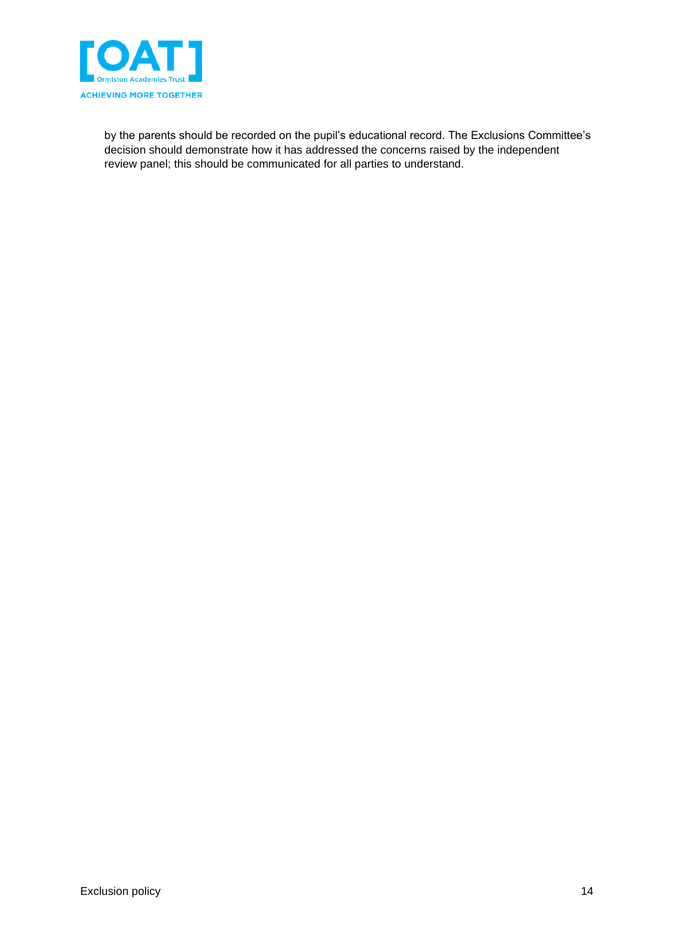

by the parents should be recorded on the pupil's educational record. The Exclusions Committee's decision should demonstrate how it has addressed the concerns raised by the independent review panel; this should be communicated for all parties to understand.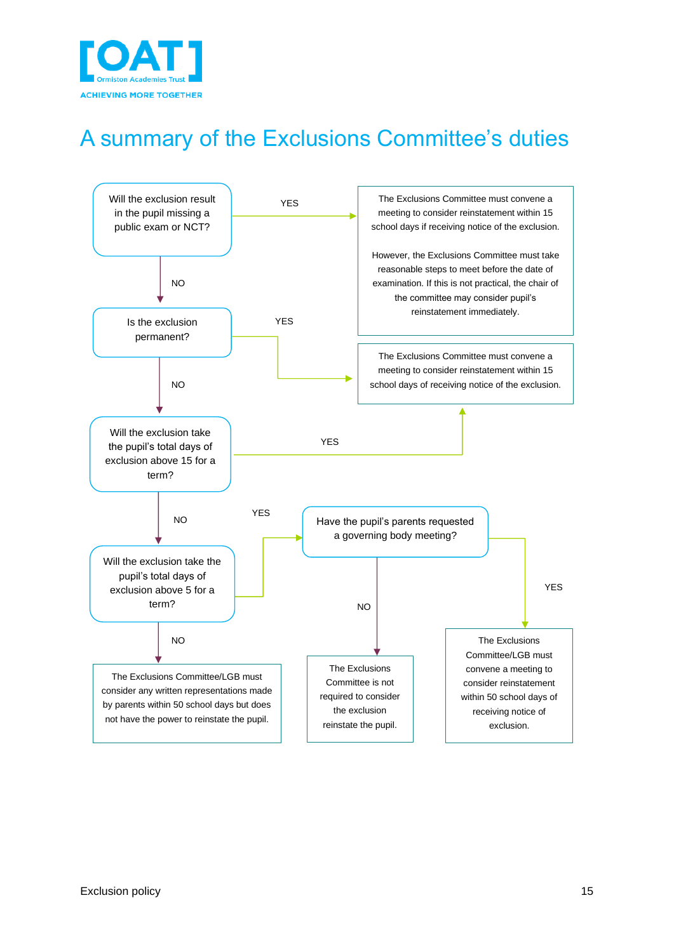

## <span id="page-14-0"></span>A summary of the Exclusions Committee's duties

<span id="page-14-1"></span>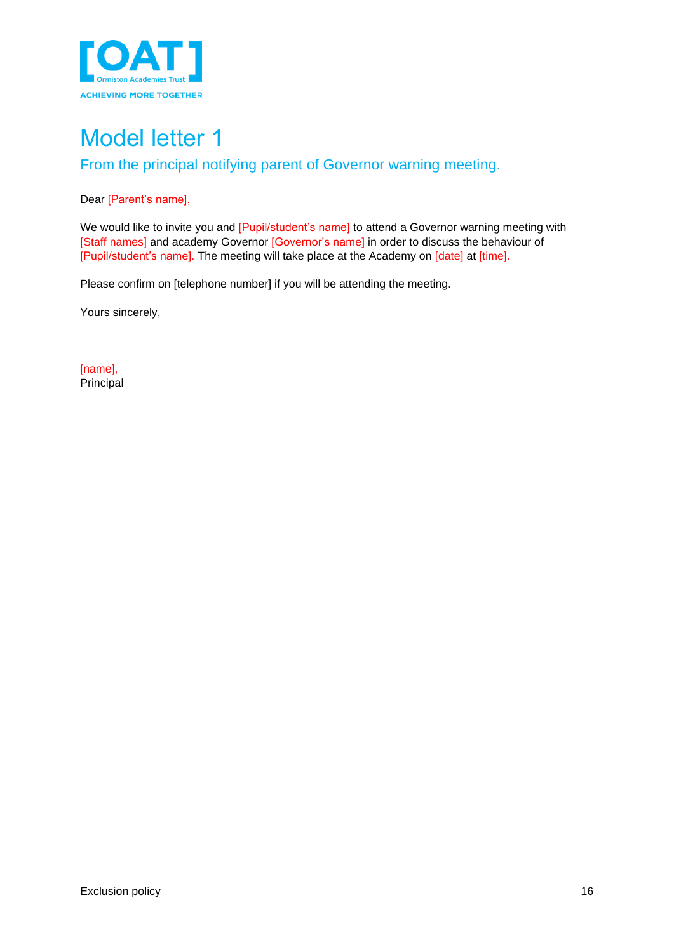

<span id="page-15-1"></span><span id="page-15-0"></span>From the principal notifying parent of Governor warning meeting.

#### Dear [Parent's name],

We would like to invite you and [Pupil/student's name] to attend a Governor warning meeting with [Staff names] and academy Governor [Governor's name] in order to discuss the behaviour of [Pupil/student's name]. The meeting will take place at the Academy on [date] at [time].

Please confirm on [telephone number] if you will be attending the meeting.

Yours sincerely,

[name], Principal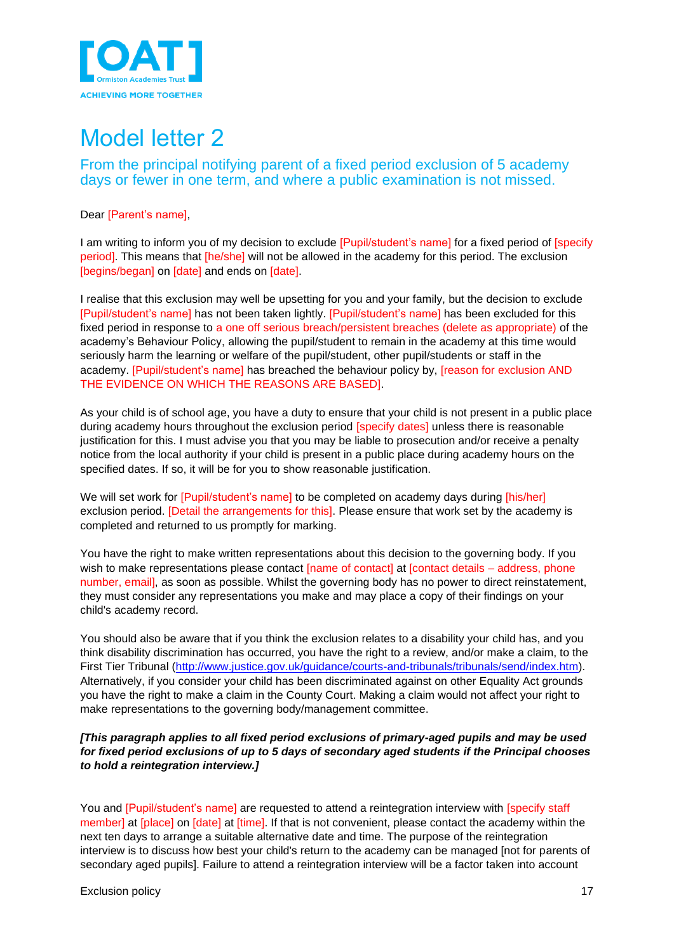

<span id="page-16-1"></span><span id="page-16-0"></span>From the principal notifying parent of a fixed period exclusion of 5 academy days or fewer in one term, and where a public examination is not missed.

Dear [Parent's name],

I am writing to inform you of my decision to exclude [Pupil/student's name] for a fixed period of [specify] period]. This means that [he/she] will not be allowed in the academy for this period. The exclusion [begins/began] on [date] and ends on [date].

I realise that this exclusion may well be upsetting for you and your family, but the decision to exclude [Pupil/student's name] has not been taken lightly. [Pupil/student's name] has been excluded for this fixed period in response to a one off serious breach/persistent breaches (delete as appropriate) of the academy's Behaviour Policy, allowing the pupil/student to remain in the academy at this time would seriously harm the learning or welfare of the pupil/student, other pupil/students or staff in the academy. [Pupil/student's name] has breached the behaviour policy by, [reason for exclusion AND THE EVIDENCE ON WHICH THE REASONS ARE BASED].

As your child is of school age, you have a duty to ensure that your child is not present in a public place during academy hours throughout the exclusion period [specify dates] unless there is reasonable justification for this. I must advise you that you may be liable to prosecution and/or receive a penalty notice from the local authority if your child is present in a public place during academy hours on the specified dates. If so, it will be for you to show reasonable justification.

We will set work for [Pupil/student's name] to be completed on academy days during [his/her] exclusion period. [Detail the arrangements for this]. Please ensure that work set by the academy is completed and returned to us promptly for marking.

You have the right to make written representations about this decision to the governing body. If you wish to make representations please contact [name of contact] at [contact details – address, phone number, email], as soon as possible. Whilst the governing body has no power to direct reinstatement, they must consider any representations you make and may place a copy of their findings on your child's academy record.

You should also be aware that if you think the exclusion relates to a disability your child has, and you think disability discrimination has occurred, you have the right to a review, and/or make a claim, to the First Tier Tribunal [\(http://www.justice.gov.uk/guidance/courts-and-tribunals/tribunals/send/index.htm\)](http://www.justice.gov.uk/guidance/courts-and-tribunals/tribunals/send/index.htm). Alternatively, if you consider your child has been discriminated against on other Equality Act grounds you have the right to make a claim in the County Court. Making a claim would not affect your right to make representations to the governing body/management committee.

#### *[This paragraph applies to all fixed period exclusions of primary-aged pupils and may be used for fixed period exclusions of up to 5 days of secondary aged students if the Principal chooses to hold a reintegration interview.]*

You and [Pupil/student's name] are requested to attend a reintegration interview with [specify staff member] at [place] on [date] at [time]. If that is not convenient, please contact the academy within the next ten days to arrange a suitable alternative date and time. The purpose of the reintegration interview is to discuss how best your child's return to the academy can be managed [not for parents of secondary aged pupils]. Failure to attend a reintegration interview will be a factor taken into account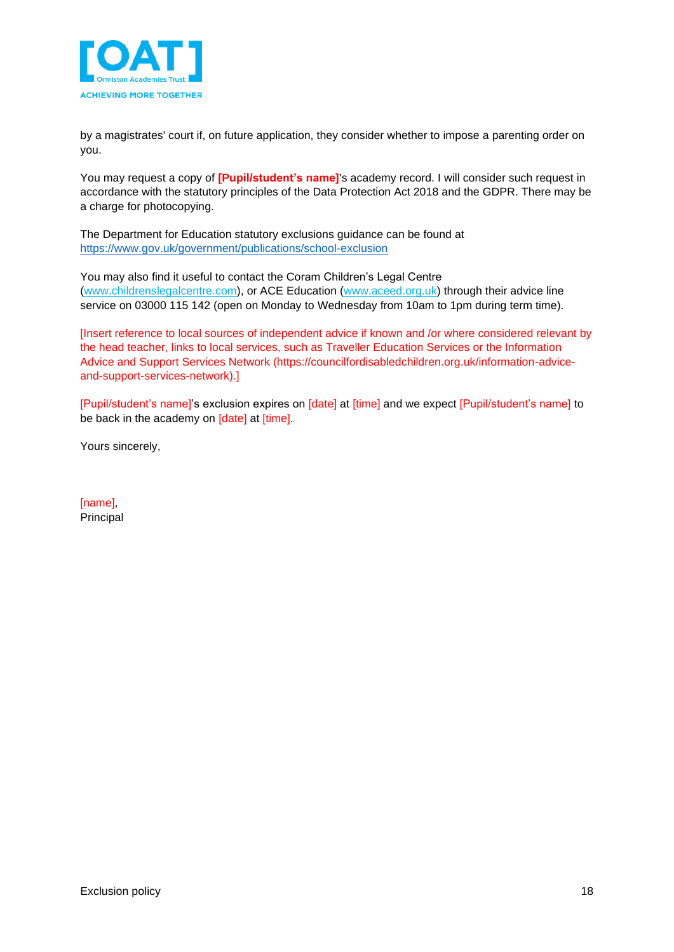

by a magistrates' court if, on future application, they consider whether to impose a parenting order on you.

You may request a copy of **[Pupil/student's name]**'s academy record. I will consider such request in accordance with the statutory principles of the Data Protection Act 2018 and the GDPR. There may be a charge for photocopying.

The Department for Education statutory exclusions guidance can be found at <https://www.gov.uk/government/publications/school-exclusion>

You may also find it useful to contact the Coram Children's Legal Centre [\(www.childrenslegalcentre.com\)](http://www.childrenslegalcentre.com/), or ACE Education [\(www.aceed.org.uk\)](http://www.aceed.org.uk/) through their advice line service on 03000 115 142 (open on Monday to Wednesday from 10am to 1pm during term time).

[Insert reference to local sources of independent advice if known and /or where considered relevant by the head teacher, links to local services, such as Traveller Education Services or the Information Advice and Support Services Network (https://councilfordisabledchildren.org.uk/information-adviceand-support-services-network).]

[Pupil/student's name]'s exclusion expires on [date] at [time] and we expect [Pupil/student's name] to be back in the academy on [date] at [time].

Yours sincerely,

[name], Principal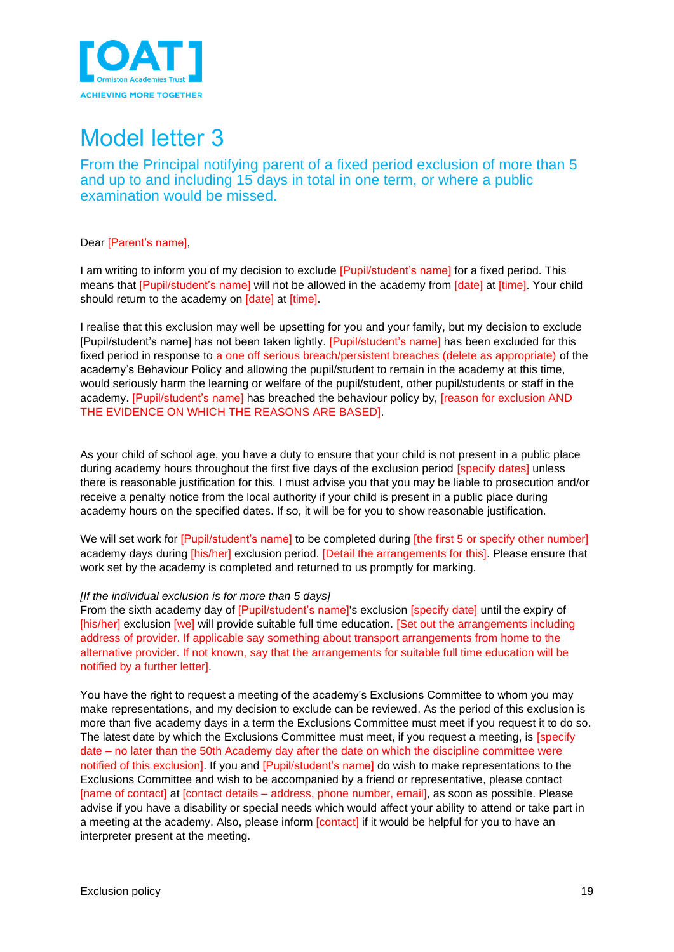

<span id="page-18-1"></span><span id="page-18-0"></span>From the Principal notifying parent of a fixed period exclusion of more than 5 and up to and including 15 days in total in one term, or where a public examination would be missed.

#### Dear [Parent's name],

I am writing to inform you of my decision to exclude [Pupil/student's name] for a fixed period. This means that [Pupil/student's name] will not be allowed in the academy from [date] at [time]. Your child should return to the academy on *[date]* at *[time]*.

I realise that this exclusion may well be upsetting for you and your family, but my decision to exclude [Pupil/student's name] has not been taken lightly. [Pupil/student's name] has been excluded for this fixed period in response to a one off serious breach/persistent breaches (delete as appropriate) of the academy's Behaviour Policy and allowing the pupil/student to remain in the academy at this time, would seriously harm the learning or welfare of the pupil/student, other pupil/students or staff in the academy. [Pupil/student's name] has breached the behaviour policy by, [reason for exclusion AND THE EVIDENCE ON WHICH THE REASONS ARE BASED].

As your child of school age, you have a duty to ensure that your child is not present in a public place during academy hours throughout the first five days of the exclusion period [specify dates] unless there is reasonable justification for this. I must advise you that you may be liable to prosecution and/or receive a penalty notice from the local authority if your child is present in a public place during academy hours on the specified dates. If so, it will be for you to show reasonable justification.

We will set work for [Pupil/student's name] to be completed during [the first 5 or specify other number] academy days during [his/her] exclusion period. [Detail the arrangements for this]. Please ensure that work set by the academy is completed and returned to us promptly for marking.

#### *[If the individual exclusion is for more than 5 days]*

From the sixth academy day of [Pupil/student's name]'s exclusion [specify date] until the expiry of [his/her] exclusion [we] will provide suitable full time education. [Set out the arrangements including address of provider. If applicable say something about transport arrangements from home to the alternative provider. If not known, say that the arrangements for suitable full time education will be notified by a further letter].

You have the right to request a meeting of the academy's Exclusions Committee to whom you may make representations, and my decision to exclude can be reviewed. As the period of this exclusion is more than five academy days in a term the Exclusions Committee must meet if you request it to do so. The latest date by which the Exclusions Committee must meet, if you request a meeting, is [specify date – no later than the 50th Academy day after the date on which the discipline committee were notified of this exclusion]. If you and [Pupil/student's name] do wish to make representations to the Exclusions Committee and wish to be accompanied by a friend or representative, please contact [name of contact] at [contact details – address, phone number, email], as soon as possible. Please advise if you have a disability or special needs which would affect your ability to attend or take part in a meeting at the academy. Also, please inform [contact] if it would be helpful for you to have an interpreter present at the meeting.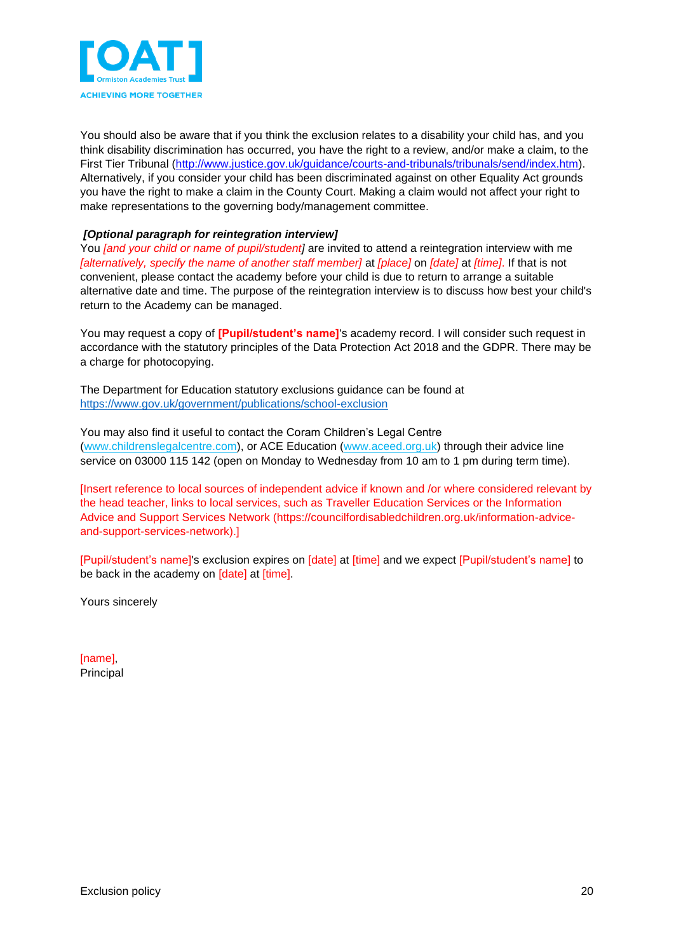

You should also be aware that if you think the exclusion relates to a disability your child has, and you think disability discrimination has occurred, you have the right to a review, and/or make a claim, to the First Tier Tribunal [\(http://www.justice.gov.uk/guidance/courts-and-tribunals/tribunals/send/index.htm\)](http://www.justice.gov.uk/guidance/courts-and-tribunals/tribunals/send/index.htm). Alternatively, if you consider your child has been discriminated against on other Equality Act grounds you have the right to make a claim in the County Court. Making a claim would not affect your right to make representations to the governing body/management committee.

#### *[Optional paragraph for reintegration interview]*

You *[and your child or name of pupil/student]* are invited to attend a reintegration interview with me *[alternatively, specify the name of another staff member]* at *[place]* on *[date]* at *[time]*. If that is not convenient, please contact the academy before your child is due to return to arrange a suitable alternative date and time. The purpose of the reintegration interview is to discuss how best your child's return to the Academy can be managed.

You may request a copy of **[Pupil/student's name]**'s academy record. I will consider such request in accordance with the statutory principles of the Data Protection Act 2018 and the GDPR. There may be a charge for photocopying.

The Department for Education statutory exclusions guidance can be found at <https://www.gov.uk/government/publications/school-exclusion>

You may also find it useful to contact the Coram Children's Legal Centre [\(www.childrenslegalcentre.com\)](http://www.childrenslegalcentre.com/), or ACE Education [\(www.aceed.org.uk\)](http://www.aceed.org.uk/) through their advice line service on 03000 115 142 (open on Monday to Wednesday from 10 am to 1 pm during term time).

[Insert reference to local sources of independent advice if known and /or where considered relevant by the head teacher, links to local services, such as Traveller Education Services or the Information Advice and Support Services Network (https://councilfordisabledchildren.org.uk/information-adviceand-support-services-network).]

[Pupil/student's name]'s exclusion expires on [date] at [time] and we expect [Pupil/student's name] to be back in the academy on [date] at [time].

Yours sincerely

[name], Principal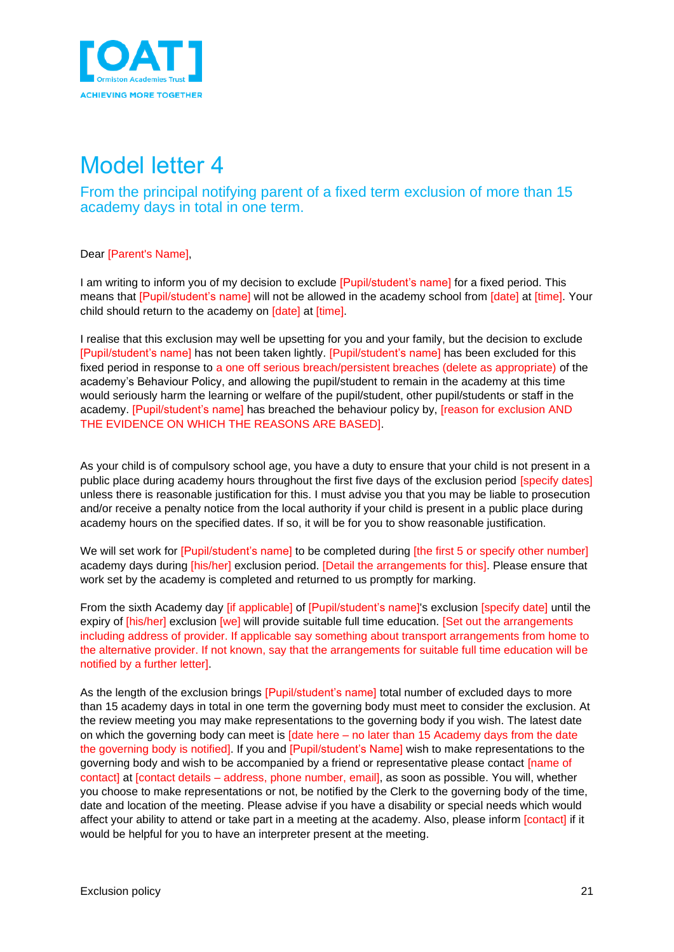

<span id="page-20-1"></span><span id="page-20-0"></span>From the principal notifying parent of a fixed term exclusion of more than 15 academy days in total in one term.

Dear [Parent's Name],

I am writing to inform you of my decision to exclude [Pupil/student's name] for a fixed period. This means that [Pupil/student's name] will not be allowed in the academy school from [date] at [time]. Your child should return to the academy on *[date]* at *[time]*.

I realise that this exclusion may well be upsetting for you and your family, but the decision to exclude [Pupil/student's name] has not been taken lightly. [Pupil/student's name] has been excluded for this fixed period in response to a one off serious breach/persistent breaches (delete as appropriate) of the academy's Behaviour Policy, and allowing the pupil/student to remain in the academy at this time would seriously harm the learning or welfare of the pupil/student, other pupil/students or staff in the academy. [Pupil/student's name] has breached the behaviour policy by, [reason for exclusion AND THE EVIDENCE ON WHICH THE REASONS ARE BASED].

As your child is of compulsory school age, you have a duty to ensure that your child is not present in a public place during academy hours throughout the first five days of the exclusion period [specify dates] unless there is reasonable justification for this. I must advise you that you may be liable to prosecution and/or receive a penalty notice from the local authority if your child is present in a public place during academy hours on the specified dates. If so, it will be for you to show reasonable justification.

We will set work for [Pupil/student's name] to be completed during [the first 5 or specify other number] academy days during [his/her] exclusion period. [Detail the arrangements for this]. Please ensure that work set by the academy is completed and returned to us promptly for marking.

From the sixth Academy day [if applicable] of [Pupil/student's name]'s exclusion [specify date] until the expiry of [his/her] exclusion [we] will provide suitable full time education. [Set out the arrangements including address of provider. If applicable say something about transport arrangements from home to the alternative provider. If not known, say that the arrangements for suitable full time education will be notified by a further letter].

As the length of the exclusion brings [Pupil/student's name] total number of excluded days to more than 15 academy days in total in one term the governing body must meet to consider the exclusion. At the review meeting you may make representations to the governing body if you wish. The latest date on which the governing body can meet is  $\int$ date here – no later than 15 Academy days from the date the governing body is notified]. If you and [Pupil/student's Name] wish to make representations to the governing body and wish to be accompanied by a friend or representative please contact *[name of* contact] at [contact details – address, phone number, email], as soon as possible. You will, whether you choose to make representations or not, be notified by the Clerk to the governing body of the time, date and location of the meeting. Please advise if you have a disability or special needs which would affect your ability to attend or take part in a meeting at the academy. Also, please inform [contact] if it would be helpful for you to have an interpreter present at the meeting.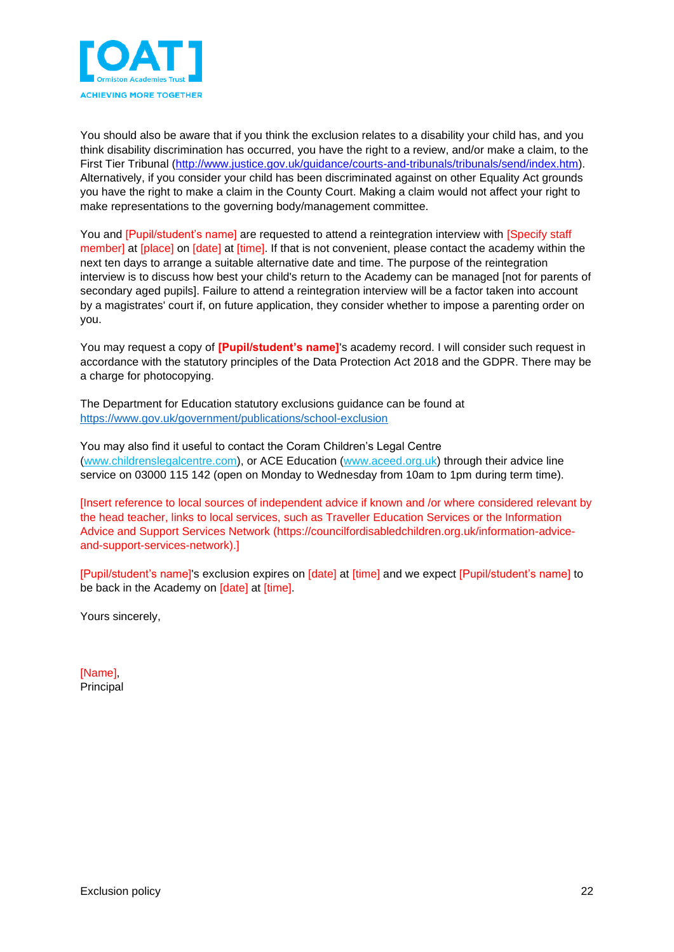

You should also be aware that if you think the exclusion relates to a disability your child has, and you think disability discrimination has occurred, you have the right to a review, and/or make a claim, to the First Tier Tribunal [\(http://www.justice.gov.uk/guidance/courts-and-tribunals/tribunals/send/index.htm\)](http://www.justice.gov.uk/guidance/courts-and-tribunals/tribunals/send/index.htm). Alternatively, if you consider your child has been discriminated against on other Equality Act grounds you have the right to make a claim in the County Court. Making a claim would not affect your right to make representations to the governing body/management committee.

You and [Pupil/student's name] are requested to attend a reintegration interview with [Specify staff member] at [place] on [date] at [time]. If that is not convenient, please contact the academy within the next ten days to arrange a suitable alternative date and time. The purpose of the reintegration interview is to discuss how best your child's return to the Academy can be managed [not for parents of secondary aged pupils]. Failure to attend a reintegration interview will be a factor taken into account by a magistrates' court if, on future application, they consider whether to impose a parenting order on you.

You may request a copy of **[Pupil/student's name]**'s academy record. I will consider such request in accordance with the statutory principles of the Data Protection Act 2018 and the GDPR. There may be a charge for photocopying.

The Department for Education statutory exclusions guidance can be found at <https://www.gov.uk/government/publications/school-exclusion>

You may also find it useful to contact the Coram Children's Legal Centre [\(www.childrenslegalcentre.com\)](http://www.childrenslegalcentre.com/), or ACE Education [\(www.aceed.org.uk\)](http://www.aceed.org.uk/) through their advice line service on 03000 115 142 (open on Monday to Wednesday from 10am to 1pm during term time).

[Insert reference to local sources of independent advice if known and /or where considered relevant by the head teacher, links to local services, such as Traveller Education Services or the Information Advice and Support Services Network (https://councilfordisabledchildren.org.uk/information-adviceand-support-services-network).]

[Pupil/student's name]'s exclusion expires on [date] at [time] and we expect [Pupil/student's name] to be back in the Academy on [date] at [time].

Yours sincerely,

[Name], Principal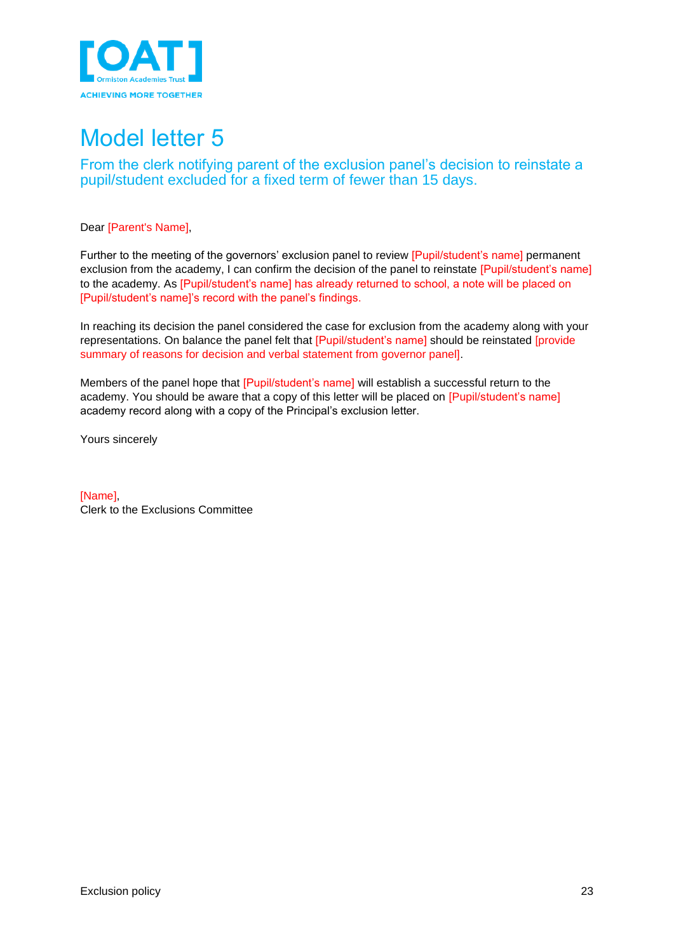

<span id="page-22-1"></span><span id="page-22-0"></span>From the clerk notifying parent of the exclusion panel's decision to reinstate a pupil/student excluded for a fixed term of fewer than 15 days.

Dear [Parent's Name],

Further to the meeting of the governors' exclusion panel to review [Pupil/student's name] permanent exclusion from the academy, I can confirm the decision of the panel to reinstate [Pupil/student's name] to the academy. As [Pupil/student's name] has already returned to school, a note will be placed on [Pupil/student's name]'s record with the panel's findings.

In reaching its decision the panel considered the case for exclusion from the academy along with your representations. On balance the panel felt that [Pupil/student's name] should be reinstated [provide summary of reasons for decision and verbal statement from governor panel].

Members of the panel hope that [Pupil/student's name] will establish a successful return to the academy. You should be aware that a copy of this letter will be placed on [Pupil/student's name] academy record along with a copy of the Principal's exclusion letter.

Yours sincerely

<span id="page-22-2"></span>[Name] Clerk to the Exclusions Committee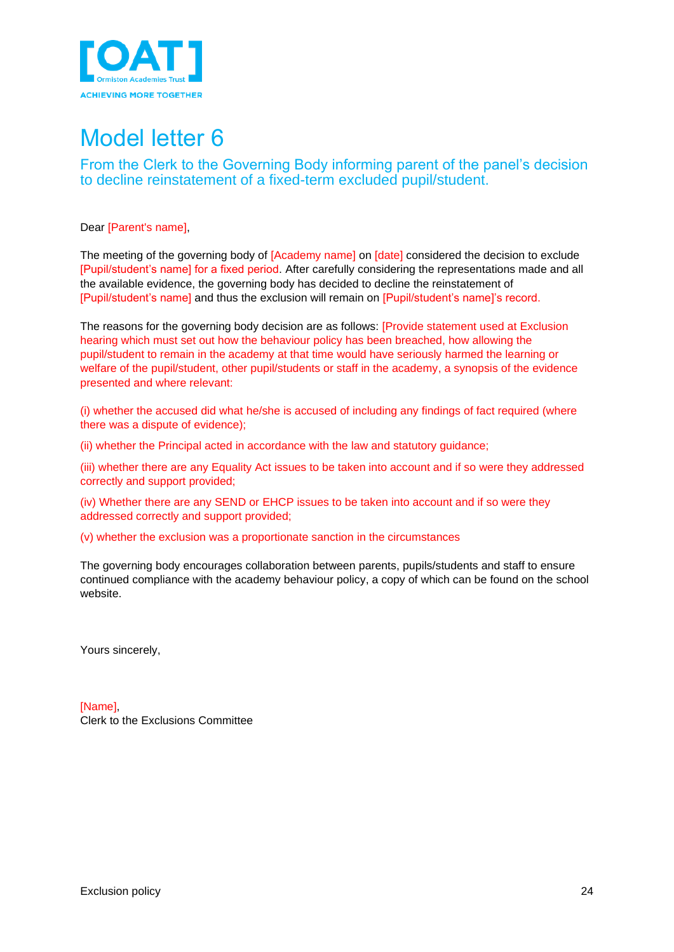

<span id="page-23-0"></span>From the Clerk to the Governing Body informing parent of the panel's decision to decline reinstatement of a fixed-term excluded pupil/student.

Dear [Parent's name],

The meeting of the governing body of [Academy name] on [date] considered the decision to exclude [Pupil/student's name] for a fixed period. After carefully considering the representations made and all the available evidence, the governing body has decided to decline the reinstatement of [Pupil/student's name] and thus the exclusion will remain on [Pupil/student's name]'s record.

The reasons for the governing body decision are as follows: [Provide statement used at Exclusion hearing which must set out how the behaviour policy has been breached, how allowing the pupil/student to remain in the academy at that time would have seriously harmed the learning or welfare of the pupil/student, other pupil/students or staff in the academy, a synopsis of the evidence presented and where relevant:

(i) whether the accused did what he/she is accused of including any findings of fact required (where there was a dispute of evidence);

(ii) whether the Principal acted in accordance with the law and statutory guidance;

(iii) whether there are any Equality Act issues to be taken into account and if so were they addressed correctly and support provided;

(iv) Whether there are any SEND or EHCP issues to be taken into account and if so were they addressed correctly and support provided;

(v) whether the exclusion was a proportionate sanction in the circumstances

The governing body encourages collaboration between parents, pupils/students and staff to ensure continued compliance with the academy behaviour policy, a copy of which can be found on the school website.

Yours sincerely,

[Name], Clerk to the Exclusions Committee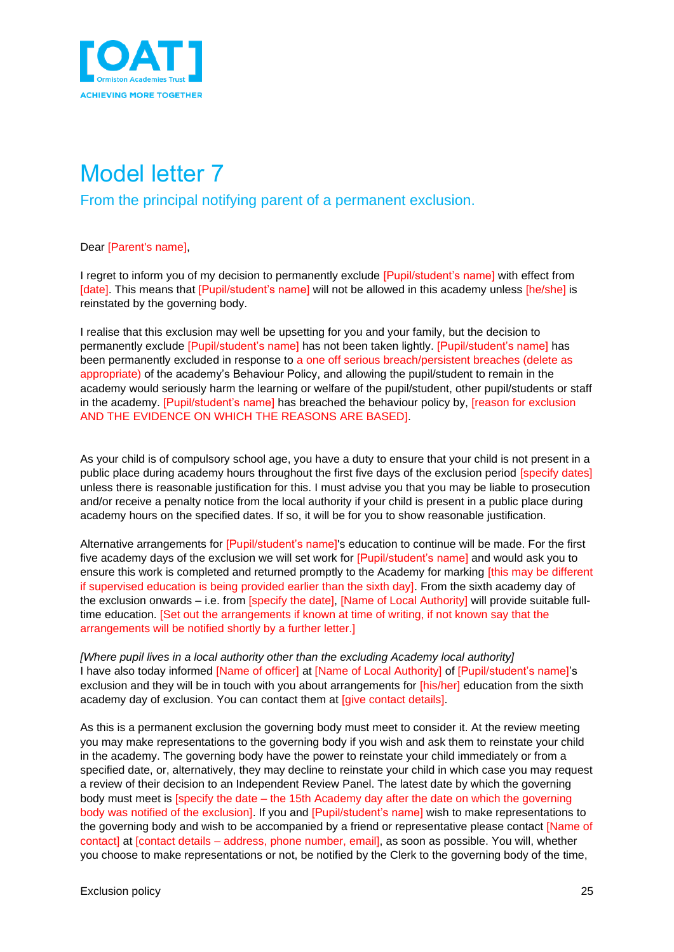

<span id="page-24-1"></span><span id="page-24-0"></span>From the principal notifying parent of a permanent exclusion.

#### Dear [Parent's name],

I regret to inform you of my decision to permanently exclude [Pupil/student's name] with effect from [date]. This means that [Pupil/student's name] will not be allowed in this academy unless [he/she] is reinstated by the governing body.

I realise that this exclusion may well be upsetting for you and your family, but the decision to permanently exclude [Pupil/student's name] has not been taken lightly. [Pupil/student's name] has been permanently excluded in response to a one off serious breach/persistent breaches (delete as appropriate) of the academy's Behaviour Policy, and allowing the pupil/student to remain in the academy would seriously harm the learning or welfare of the pupil/student, other pupil/students or staff in the academy. [Pupil/student's name] has breached the behaviour policy by, [reason for exclusion AND THE EVIDENCE ON WHICH THE REASONS ARE BASED].

As your child is of compulsory school age, you have a duty to ensure that your child is not present in a public place during academy hours throughout the first five days of the exclusion period [specify dates] unless there is reasonable justification for this. I must advise you that you may be liable to prosecution and/or receive a penalty notice from the local authority if your child is present in a public place during academy hours on the specified dates. If so, it will be for you to show reasonable justification.

Alternative arrangements for [Pupil/student's name]'s education to continue will be made. For the first five academy days of the exclusion we will set work for [Pupil/student's name] and would ask you to ensure this work is completed and returned promptly to the Academy for marking *[this may be different* if supervised education is being provided earlier than the sixth day]. From the sixth academy day of the exclusion onwards – i.e. from [specify the date], [Name of Local Authority] will provide suitable fulltime education. [Set out the arrangements if known at time of writing, if not known say that the arrangements will be notified shortly by a further letter.]

*[Where pupil lives in a local authority other than the excluding Academy local authority]* I have also today informed [Name of officer] at [Name of Local Authority] of [Pupil/student's name]'s exclusion and they will be in touch with you about arrangements for [his/her] education from the sixth academy day of exclusion. You can contact them at [give contact details].

As this is a permanent exclusion the governing body must meet to consider it. At the review meeting you may make representations to the governing body if you wish and ask them to reinstate your child in the academy. The governing body have the power to reinstate your child immediately or from a specified date, or, alternatively, they may decline to reinstate your child in which case you may request a review of their decision to an Independent Review Panel. The latest date by which the governing body must meet is [specify the date – the 15th Academy day after the date on which the governing body was notified of the exclusion]. If you and [Pupil/student's name] wish to make representations to the governing body and wish to be accompanied by a friend or representative please contact [Name of contact] at [contact details – address, phone number, email], as soon as possible. You will, whether you choose to make representations or not, be notified by the Clerk to the governing body of the time,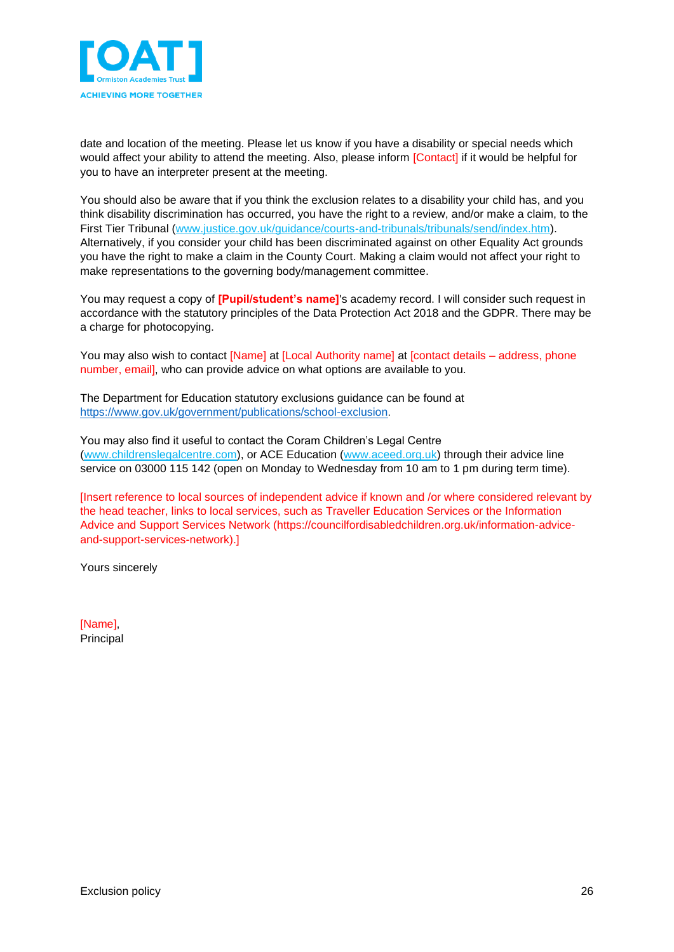

date and location of the meeting. Please let us know if you have a disability or special needs which would affect your ability to attend the meeting. Also, please inform [Contact] if it would be helpful for you to have an interpreter present at the meeting.

You should also be aware that if you think the exclusion relates to a disability your child has, and you think disability discrimination has occurred, you have the right to a review, and/or make a claim, to the First Tier Tribunal [\(www.justice.gov.uk/guidance/courts-and-tribunals/tribunals/send/index.htm\)](http://www.justice.gov.uk/guidance/courts-and-tribunals/tribunals/send/index.htm). Alternatively, if you consider your child has been discriminated against on other Equality Act grounds you have the right to make a claim in the County Court. Making a claim would not affect your right to make representations to the governing body/management committee.

You may request a copy of **[Pupil/student's name]**'s academy record. I will consider such request in accordance with the statutory principles of the Data Protection Act 2018 and the GDPR. There may be a charge for photocopying.

You may also wish to contact [Name] at [Local Authority name] at [contact details – address, phone number, email], who can provide advice on what options are available to you.

The Department for Education statutory exclusions guidance can be found at <https://www.gov.uk/government/publications/school-exclusion>.

You may also find it useful to contact the Coram Children's Legal Centre [\(www.childrenslegalcentre.com\)](http://www.childrenslegalcentre.com/), or ACE Education [\(www.aceed.org.uk\)](http://www.aceed.org.uk/) through their advice line service on 03000 115 142 (open on Monday to Wednesday from 10 am to 1 pm during term time).

[Insert reference to local sources of independent advice if known and /or where considered relevant by the head teacher, links to local services, such as Traveller Education Services or the Information Advice and Support Services Network (https://councilfordisabledchildren.org.uk/information-adviceand-support-services-network).]

Yours sincerely

[Name], Principal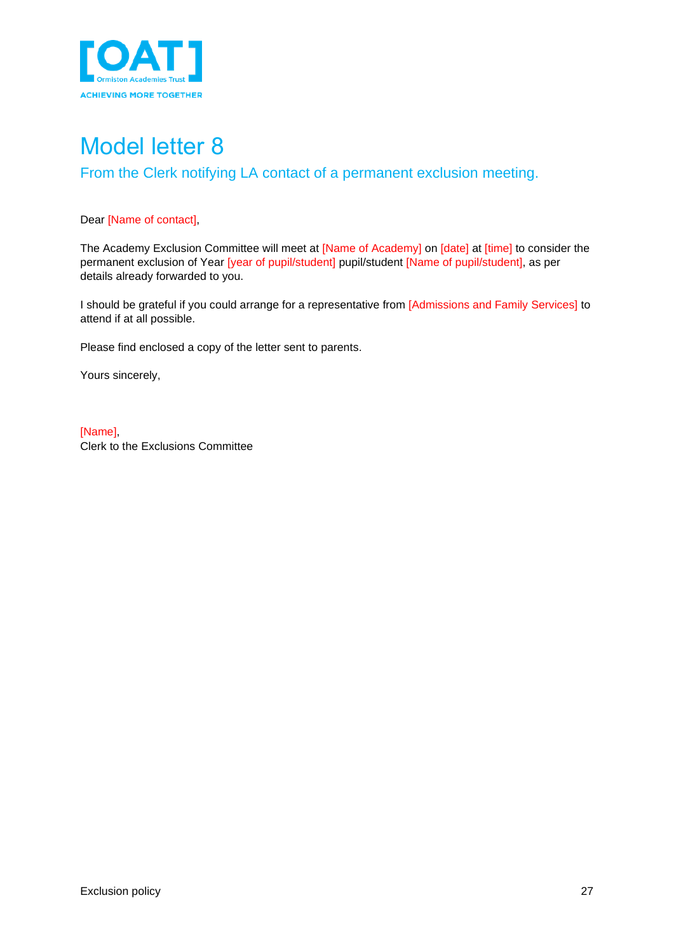

### <span id="page-26-1"></span><span id="page-26-0"></span>Model letter 8 From the Clerk notifying LA contact of a permanent exclusion meeting.

#### Dear [Name of contact],

The Academy Exclusion Committee will meet at [Name of Academy] on [date] at [time] to consider the permanent exclusion of Year [year of pupil/student] pupil/student [Name of pupil/student], as per details already forwarded to you.

I should be grateful if you could arrange for a representative from [Admissions and Family Services] to attend if at all possible.

Please find enclosed a copy of the letter sent to parents.

Yours sincerely,

[Name], Clerk to the Exclusions Committee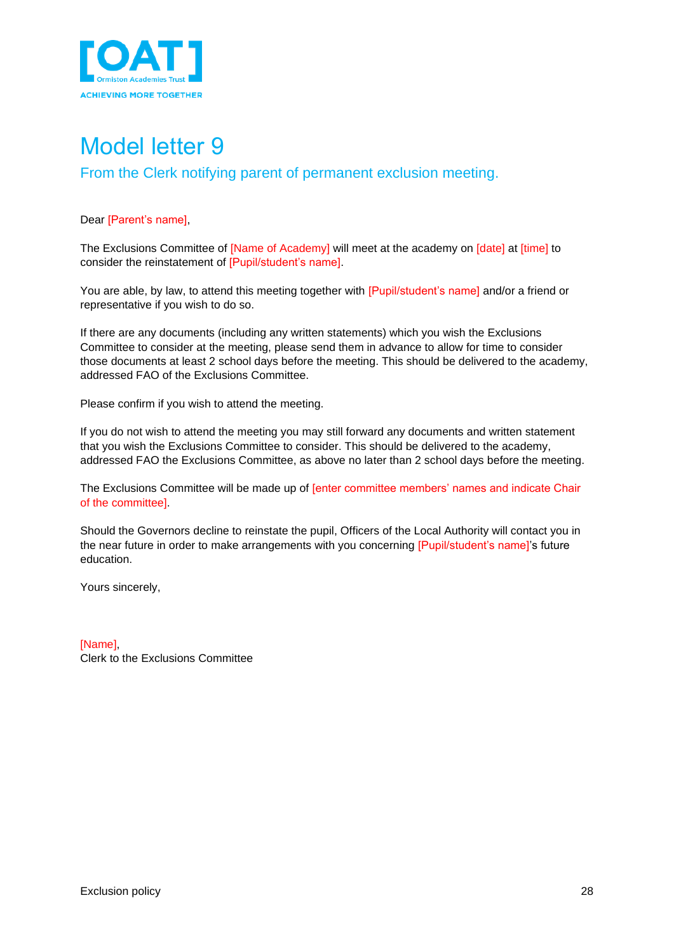

<span id="page-27-1"></span><span id="page-27-0"></span>From the Clerk notifying parent of permanent exclusion meeting.

#### Dear [Parent's name],

The Exclusions Committee of [Name of Academy] will meet at the academy on [date] at [time] to consider the reinstatement of [Pupil/student's name].

You are able, by law, to attend this meeting together with [Pupil/student's name] and/or a friend or representative if you wish to do so.

If there are any documents (including any written statements) which you wish the Exclusions Committee to consider at the meeting, please send them in advance to allow for time to consider those documents at least 2 school days before the meeting. This should be delivered to the academy, addressed FAO of the Exclusions Committee.

Please confirm if you wish to attend the meeting.

If you do not wish to attend the meeting you may still forward any documents and written statement that you wish the Exclusions Committee to consider. This should be delivered to the academy, addressed FAO the Exclusions Committee, as above no later than 2 school days before the meeting.

The Exclusions Committee will be made up of [enter committee members' names and indicate Chair of the committee].

Should the Governors decline to reinstate the pupil, Officers of the Local Authority will contact you in the near future in order to make arrangements with you concerning [Pupil/student's name]'s future education.

Yours sincerely,

[Name], Clerk to the Exclusions Committee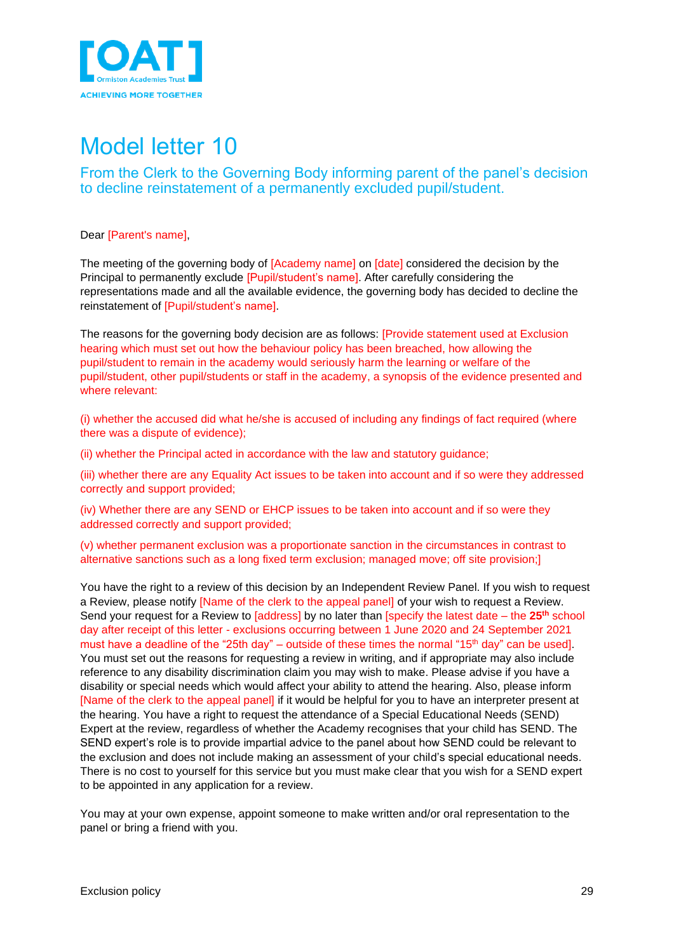

<span id="page-28-1"></span><span id="page-28-0"></span>From the Clerk to the Governing Body informing parent of the panel's decision to decline reinstatement of a permanently excluded pupil/student.

Dear [Parent's name],

The meeting of the governing body of [Academy name] on [date] considered the decision by the Principal to permanently exclude [Pupil/student's name]. After carefully considering the representations made and all the available evidence, the governing body has decided to decline the reinstatement of [Pupil/student's name].

The reasons for the governing body decision are as follows: [Provide statement used at Exclusion hearing which must set out how the behaviour policy has been breached, how allowing the pupil/student to remain in the academy would seriously harm the learning or welfare of the pupil/student, other pupil/students or staff in the academy, a synopsis of the evidence presented and where relevant:

(i) whether the accused did what he/she is accused of including any findings of fact required (where there was a dispute of evidence);

(ii) whether the Principal acted in accordance with the law and statutory guidance;

(iii) whether there are any Equality Act issues to be taken into account and if so were they addressed correctly and support provided;

(iv) Whether there are any SEND or EHCP issues to be taken into account and if so were they addressed correctly and support provided;

(v) whether permanent exclusion was a proportionate sanction in the circumstances in contrast to alternative sanctions such as a long fixed term exclusion; managed move; off site provision;]

You have the right to a review of this decision by an Independent Review Panel. If you wish to request a Review, please notify [Name of the clerk to the appeal panel] of your wish to request a Review. Send your request for a Review to [address] by no later than [specify the latest date – the 25<sup>th</sup> school day after receipt of this letter - exclusions occurring between 1 June 2020 and 24 September 2021 must have a deadline of the "25th day" – outside of these times the normal "15<sup>th</sup> day" can be used]. You must set out the reasons for requesting a review in writing, and if appropriate may also include reference to any disability discrimination claim you may wish to make. Please advise if you have a disability or special needs which would affect your ability to attend the hearing. Also, please inform [Name of the clerk to the appeal panel] if it would be helpful for you to have an interpreter present at the hearing. You have a right to request the attendance of a Special Educational Needs (SEND) Expert at the review, regardless of whether the Academy recognises that your child has SEND. The SEND expert's role is to provide impartial advice to the panel about how SEND could be relevant to the exclusion and does not include making an assessment of your child's special educational needs. There is no cost to yourself for this service but you must make clear that you wish for a SEND expert to be appointed in any application for a review.

You may at your own expense, appoint someone to make written and/or oral representation to the panel or bring a friend with you.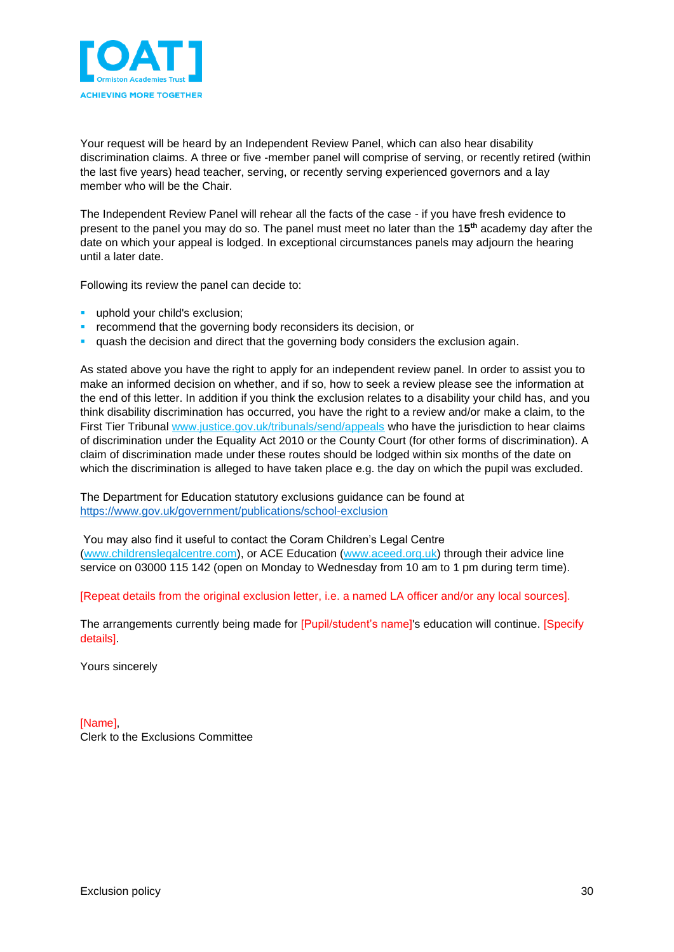

Your request will be heard by an Independent Review Panel, which can also hear disability discrimination claims. A three or five -member panel will comprise of serving, or recently retired (within the last five years) head teacher, serving, or recently serving experienced governors and a lay member who will be the Chair.

The Independent Review Panel will rehear all the facts of the case - if you have fresh evidence to present to the panel you may do so. The panel must meet no later than the 1**5 th** academy day after the date on which your appeal is lodged. In exceptional circumstances panels may adjourn the hearing until a later date.

Following its review the panel can decide to:

- uphold your child's exclusion;
- recommend that the governing body reconsiders its decision, or
- quash the decision and direct that the governing body considers the exclusion again.

As stated above you have the right to apply for an independent review panel. In order to assist you to make an informed decision on whether, and if so, how to seek a review please see the information at the end of this letter. In addition if you think the exclusion relates to a disability your child has, and you think disability discrimination has occurred, you have the right to a review and/or make a claim, to the First Tier Tribunal [www.justice.gov.uk/tribunals/send/appeals](http://www.justice.gov.uk/tribunals/send/appeals) who have the jurisdiction to hear claims of discrimination under the Equality Act 2010 or the County Court (for other forms of discrimination). A claim of discrimination made under these routes should be lodged within six months of the date on which the discrimination is alleged to have taken place e.g. the day on which the pupil was excluded.

The Department for Education statutory exclusions guidance can be found at <https://www.gov.uk/government/publications/school-exclusion>

You may also find it useful to contact the Coram Children's Legal Centre [\(www.childrenslegalcentre.com\)](http://www.childrenslegalcentre.com/), or ACE Education [\(www.aceed.org.uk\)](http://www.aceed.org.uk/) through their advice line service on 03000 115 142 (open on Monday to Wednesday from 10 am to 1 pm during term time).

[Repeat details from the original exclusion letter, i.e. a named LA officer and/or any local sources].

The arrangements currently being made for [Pupil/student's name]'s education will continue. [Specify details].

Yours sincerely

[Name], Clerk to the Exclusions Committee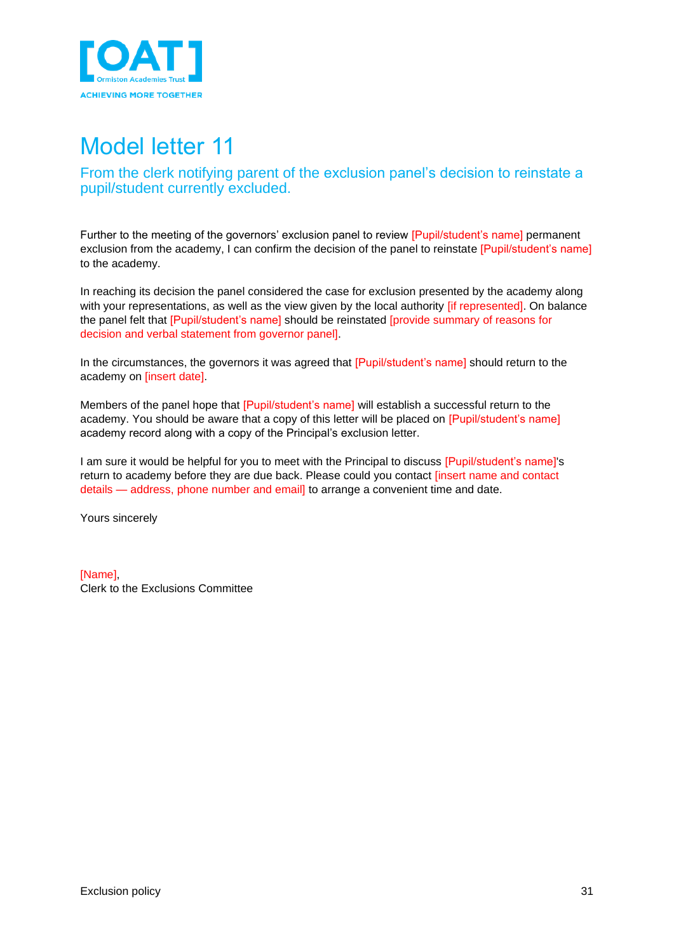

<span id="page-30-1"></span><span id="page-30-0"></span>From the clerk notifying parent of the exclusion panel's decision to reinstate a pupil/student currently excluded.

Further to the meeting of the governors' exclusion panel to review [Pupil/student's name] permanent exclusion from the academy, I can confirm the decision of the panel to reinstate [Pupil/student's name] to the academy.

In reaching its decision the panel considered the case for exclusion presented by the academy along with your representations, as well as the view given by the local authority *if represented*]. On balance the panel felt that [Pupil/student's name] should be reinstated [provide summary of reasons for decision and verbal statement from governor panel].

In the circumstances, the governors it was agreed that [Pupil/student's name] should return to the academy on [insert date].

Members of the panel hope that [Pupil/student's name] will establish a successful return to the academy. You should be aware that a copy of this letter will be placed on [Pupil/student's name] academy record along with a copy of the Principal's exclusion letter.

I am sure it would be helpful for you to meet with the Principal to discuss [Pupil/student's name]'s return to academy before they are due back. Please could you contact [insert name and contact details — address, phone number and email] to arrange a convenient time and date.

Yours sincerely

[Name] Clerk to the Exclusions Committee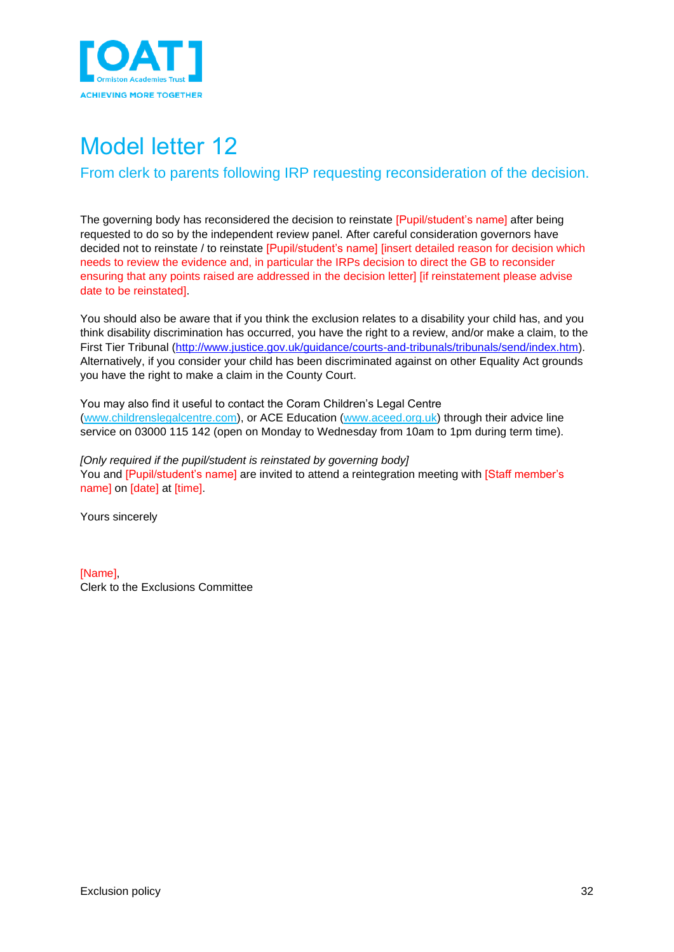

<span id="page-31-1"></span><span id="page-31-0"></span>From clerk to parents following IRP requesting reconsideration of the decision.

The governing body has reconsidered the decision to reinstate [Pupil/student's name] after being requested to do so by the independent review panel. After careful consideration governors have decided not to reinstate / to reinstate [Pupil/student's name] [insert detailed reason for decision which needs to review the evidence and, in particular the IRPs decision to direct the GB to reconsider ensuring that any points raised are addressed in the decision letter] [if reinstatement please advise date to be reinstated].

You should also be aware that if you think the exclusion relates to a disability your child has, and you think disability discrimination has occurred, you have the right to a review, and/or make a claim, to the First Tier Tribunal [\(http://www.justice.gov.uk/guidance/courts-and-tribunals/tribunals/send/index.htm\)](http://www.justice.gov.uk/guidance/courts-and-tribunals/tribunals/send/index.htm). Alternatively, if you consider your child has been discriminated against on other Equality Act grounds you have the right to make a claim in the County Court.

You may also find it useful to contact the Coram Children's Legal Centre [\(www.childrenslegalcentre.com\)](http://www.childrenslegalcentre.com/), or ACE Education [\(www.aceed.org.uk\)](http://www.aceed.org.uk/) through their advice line service on 03000 115 142 (open on Monday to Wednesday from 10am to 1pm during term time).

*[Only required if the pupil/student is reinstated by governing body]* You and [Pupil/student's name] are invited to attend a reintegration meeting with [Staff member's name] on [date] at [time].

Yours sincerely

[Name], Clerk to the Exclusions Committee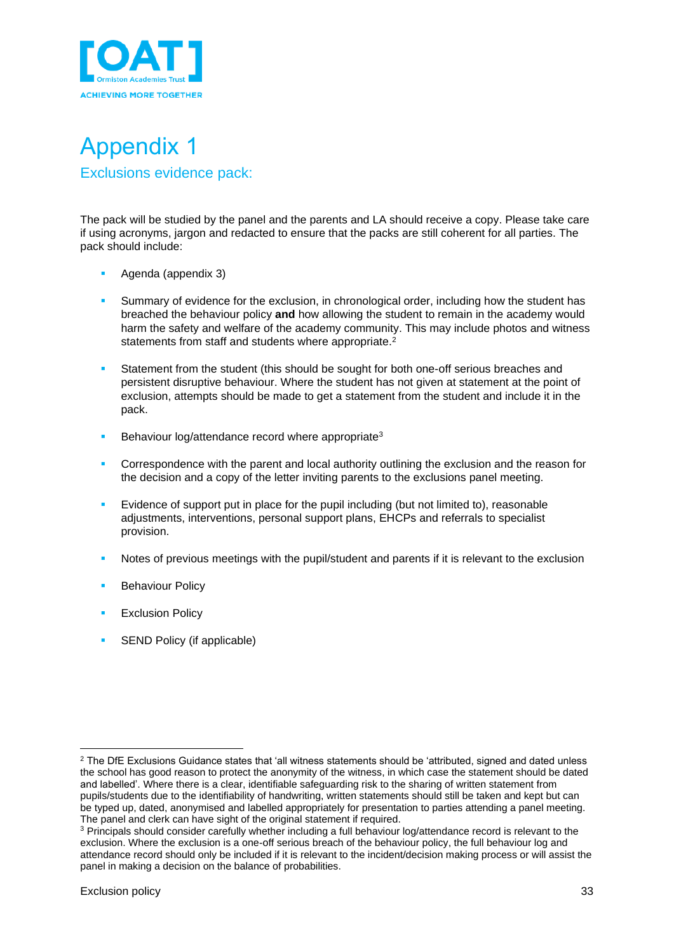

<span id="page-32-1"></span><span id="page-32-0"></span>

The pack will be studied by the panel and the parents and LA should receive a copy. Please take care if using acronyms, jargon and redacted to ensure that the packs are still coherent for all parties. The pack should include:

- Agenda (appendix 3)
- Summary of evidence for the exclusion, in chronological order, including how the student has breached the behaviour policy **and** how allowing the student to remain in the academy would harm the safety and welfare of the academy community. This may include photos and witness statements from staff and students where appropriate.<sup>2</sup>
- Statement from the student (this should be sought for both one-off serious breaches and persistent disruptive behaviour. Where the student has not given at statement at the point of exclusion, attempts should be made to get a statement from the student and include it in the pack.
- **E** Behaviour log/attendance record where appropriate<sup>3</sup>
- **•** Correspondence with the parent and local authority outlining the exclusion and the reason for the decision and a copy of the letter inviting parents to the exclusions panel meeting.
- Evidence of support put in place for the pupil including (but not limited to), reasonable adjustments, interventions, personal support plans, EHCPs and referrals to specialist provision.
- Notes of previous meetings with the pupil/student and parents if it is relevant to the exclusion
- **Behaviour Policy**
- **Exclusion Policy**
- <span id="page-32-2"></span>SEND Policy (if applicable)

<sup>&</sup>lt;sup>2</sup> The DfE Exclusions Guidance states that 'all witness statements should be 'attributed, signed and dated unless the school has good reason to protect the anonymity of the witness, in which case the statement should be dated and labelled'. Where there is a clear, identifiable safeguarding risk to the sharing of written statement from pupils/students due to the identifiability of handwriting, written statements should still be taken and kept but can be typed up, dated, anonymised and labelled appropriately for presentation to parties attending a panel meeting. The panel and clerk can have sight of the original statement if required.

<sup>3</sup> Principals should consider carefully whether including a full behaviour log/attendance record is relevant to the exclusion. Where the exclusion is a one-off serious breach of the behaviour policy, the full behaviour log and attendance record should only be included if it is relevant to the incident/decision making process or will assist the panel in making a decision on the balance of probabilities.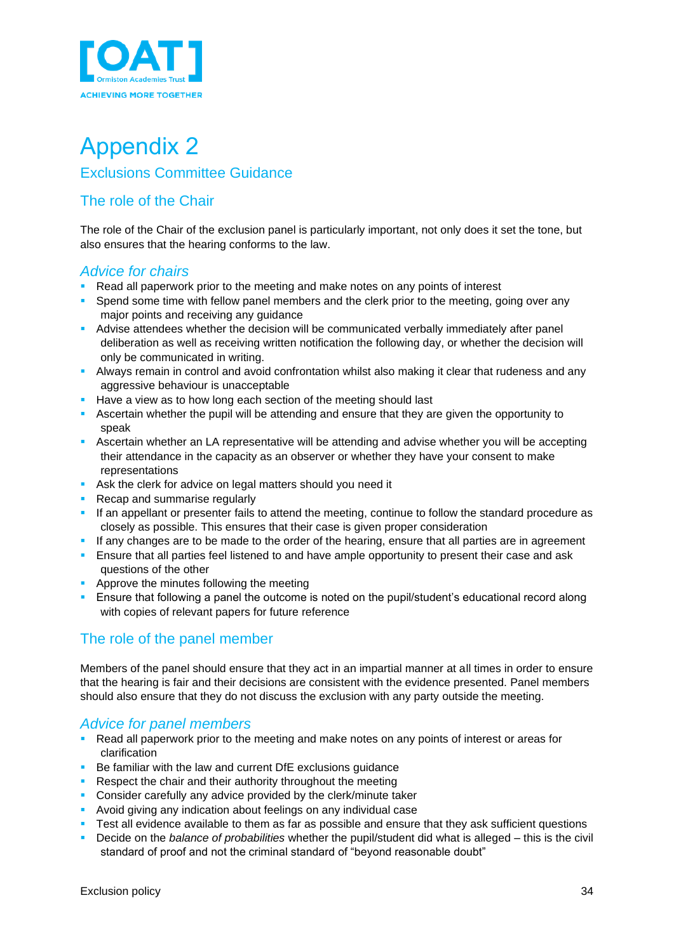

### Appendix 2 Exclusions Committee Guidance

### <span id="page-33-0"></span>The role of the Chair

The role of the Chair of the exclusion panel is particularly important, not only does it set the tone, but also ensures that the hearing conforms to the law.

### *Advice for chairs*

- Read all paperwork prior to the meeting and make notes on any points of interest
- Spend some time with fellow panel members and the clerk prior to the meeting, going over any major points and receiving any guidance
- **EXECT** Advise attendees whether the decision will be communicated verbally immediately after panel deliberation as well as receiving written notification the following day, or whether the decision will only be communicated in writing.
- **E** Always remain in control and avoid confrontation whilst also making it clear that rudeness and any aggressive behaviour is unacceptable
- Have a view as to how long each section of the meeting should last
- Ascertain whether the pupil will be attending and ensure that they are given the opportunity to speak
- **EXECTER 15 Ascertain whether an LA representative will be attending and advise whether you will be accepting** their attendance in the capacity as an observer or whether they have your consent to make representations
- Ask the clerk for advice on legal matters should you need it
- Recap and summarise regularly
- **·** If an appellant or presenter fails to attend the meeting, continue to follow the standard procedure as closely as possible. This ensures that their case is given proper consideration
- **.** If any changes are to be made to the order of the hearing, ensure that all parties are in agreement
- **Example 1** Ensure that all parties feel listened to and have ample opportunity to present their case and ask questions of the other
- Approve the minutes following the meeting
- **E** Ensure that following a panel the outcome is noted on the pupil/student's educational record along with copies of relevant papers for future reference

### The role of the panel member

Members of the panel should ensure that they act in an impartial manner at all times in order to ensure that the hearing is fair and their decisions are consistent with the evidence presented. Panel members should also ensure that they do not discuss the exclusion with any party outside the meeting.

### *Advice for panel members*

- Read all paperwork prior to the meeting and make notes on any points of interest or areas for clarification
- Be familiar with the law and current DfE exclusions guidance
- Respect the chair and their authority throughout the meeting
- **Consider carefully any advice provided by the clerk/minute taker**
- **EXECT** Avoid giving any indication about feelings on any individual case
- Test all evidence available to them as far as possible and ensure that they ask sufficient questions
- Decide on the *balance of probabilities* whether the pupil/student did what is alleged this is the civil standard of proof and not the criminal standard of "beyond reasonable doubt"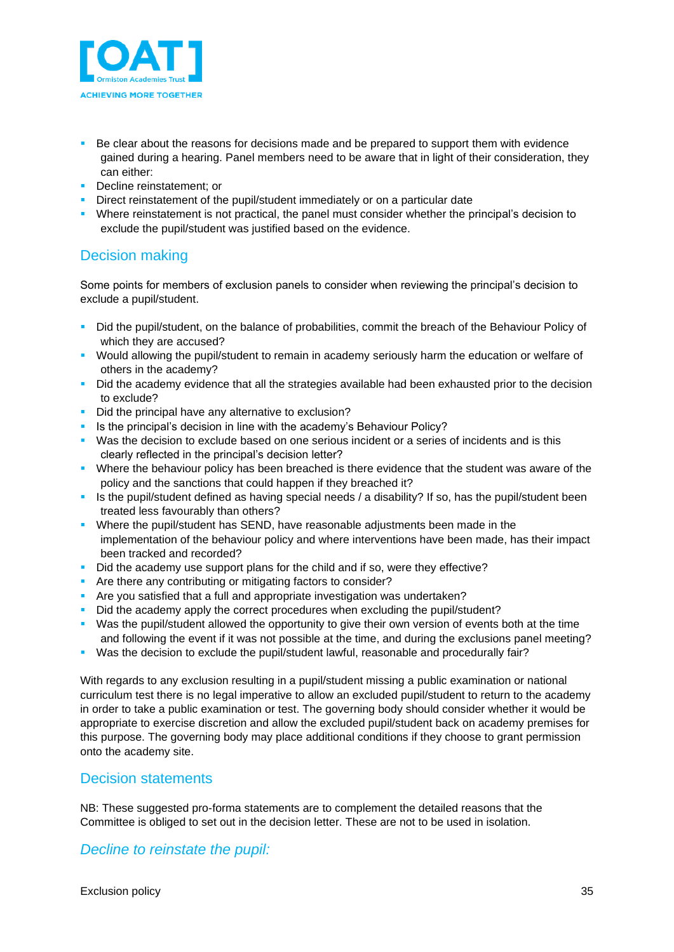

- Be clear about the reasons for decisions made and be prepared to support them with evidence gained during a hearing. Panel members need to be aware that in light of their consideration, they can either:
- **•** Decline reinstatement; or
- Direct reinstatement of the pupil/student immediately or on a particular date
- Where reinstatement is not practical, the panel must consider whether the principal's decision to exclude the pupil/student was justified based on the evidence.

### Decision making

Some points for members of exclusion panels to consider when reviewing the principal's decision to exclude a pupil/student.

- Did the pupil/student, on the balance of probabilities, commit the breach of the Behaviour Policy of which they are accused?
- Would allowing the pupil/student to remain in academy seriously harm the education or welfare of others in the academy?
- **•** Did the academy evidence that all the strategies available had been exhausted prior to the decision to exclude?
- Did the principal have any alternative to exclusion?
- **E** Is the principal's decision in line with the academy's Behaviour Policy?
- Was the decision to exclude based on one serious incident or a series of incidents and is this clearly reflected in the principal's decision letter?
- Where the behaviour policy has been breached is there evidence that the student was aware of the policy and the sanctions that could happen if they breached it?
- **EXTES 15 the pupil/student defined as having special needs / a disability? If so, has the pupil/student been** treated less favourably than others?
- **Where the pupil/student has SEND, have reasonable adjustments been made in the** implementation of the behaviour policy and where interventions have been made, has their impact been tracked and recorded?
- Did the academy use support plans for the child and if so, were they effective?
- **•** Are there any contributing or mitigating factors to consider?
- Are you satisfied that a full and appropriate investigation was undertaken?
- Did the academy apply the correct procedures when excluding the pupil/student?
- Was the pupil/student allowed the opportunity to give their own version of events both at the time and following the event if it was not possible at the time, and during the exclusions panel meeting?
- Was the decision to exclude the pupil/student lawful, reasonable and procedurally fair?

With regards to any exclusion resulting in a pupil/student missing a public examination or national curriculum test there is no legal imperative to allow an excluded pupil/student to return to the academy in order to take a public examination or test. The governing body should consider whether it would be appropriate to exercise discretion and allow the excluded pupil/student back on academy premises for this purpose. The governing body may place additional conditions if they choose to grant permission onto the academy site.

### Decision statements

NB: These suggested pro-forma statements are to complement the detailed reasons that the Committee is obliged to set out in the decision letter. These are not to be used in isolation.

### *Decline to reinstate the pupil:*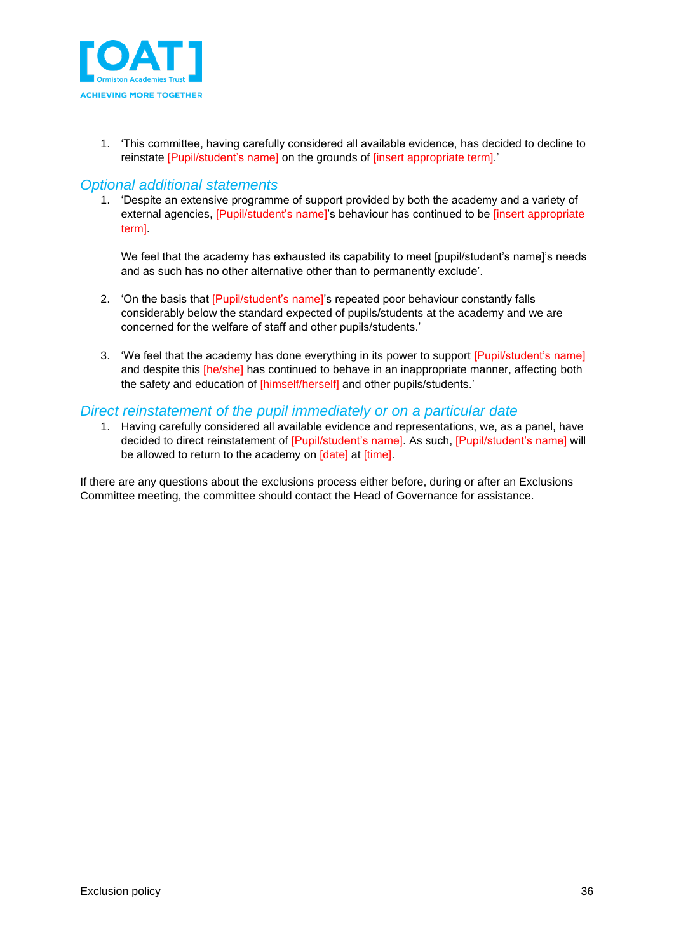

1. 'This committee, having carefully considered all available evidence, has decided to decline to reinstate [Pupil/student's name] on the grounds of [insert appropriate term].'

### *Optional additional statements*

1. 'Despite an extensive programme of support provided by both the academy and a variety of external agencies, [Pupil/student's name]'s behaviour has continued to be [insert appropriate term].

We feel that the academy has exhausted its capability to meet [pupil/student's name]'s needs and as such has no other alternative other than to permanently exclude'.

- 2. 'On the basis that [Pupil/student's name]'s repeated poor behaviour constantly falls considerably below the standard expected of pupils/students at the academy and we are concerned for the welfare of staff and other pupils/students.'
- 3. 'We feel that the academy has done everything in its power to support [Pupil/student's name] and despite this *[he/she]* has continued to behave in an inappropriate manner, affecting both the safety and education of [himself/herself] and other pupils/students.'

### *Direct reinstatement of the pupil immediately or on a particular date*

1. Having carefully considered all available evidence and representations, we, as a panel, have decided to direct reinstatement of [Pupil/student's name]. As such, [Pupil/student's name] will be allowed to return to the academy on [date] at [time].

If there are any questions about the exclusions process either before, during or after an Exclusions Committee meeting, the committee should contact the Head of Governance for assistance.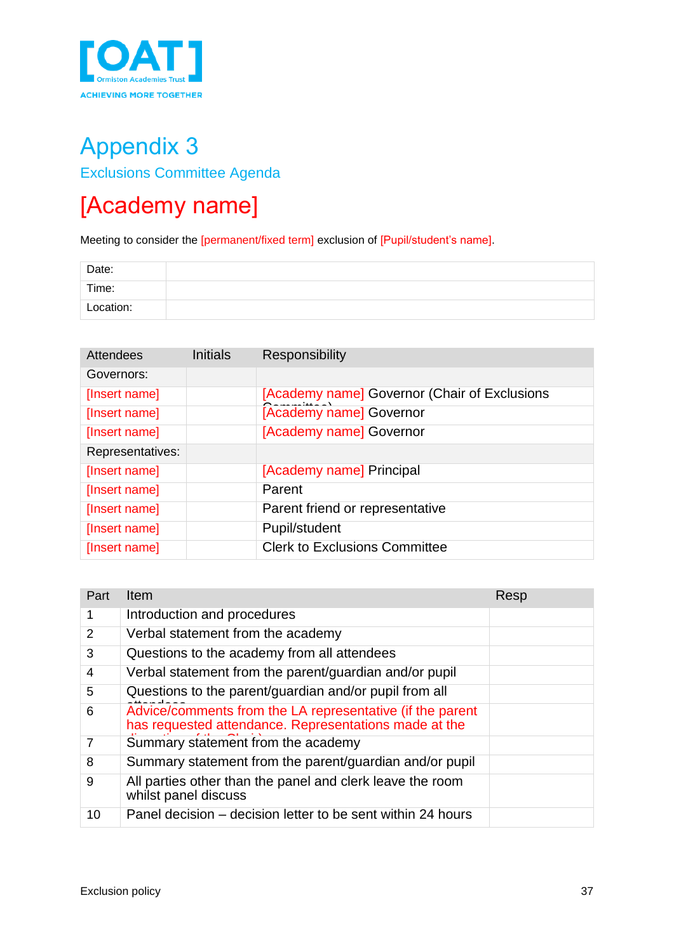

## <span id="page-36-0"></span>Appendix 3 Exclusions Committee Agenda

## <span id="page-36-1"></span>[Academy name]

Meeting to consider the [permanent/fixed term] exclusion of [Pupil/student's name].

| Date:     |  |
|-----------|--|
| Time:     |  |
| Location: |  |

| Attendees        | <b>Initials</b> | <b>Responsibility</b>                        |
|------------------|-----------------|----------------------------------------------|
| Governors:       |                 |                                              |
| [Insert name]    |                 | [Academy name] Governor (Chair of Exclusions |
| [Insert name]    |                 | [Academy name] Governor                      |
| [Insert name]    |                 | [Academy name] Governor                      |
| Representatives: |                 |                                              |
| [Insert name]    |                 | [Academy name] Principal                     |
| [Insert name]    |                 | Parent                                       |
| [Insert name]    |                 | Parent friend or representative              |
| [Insert name]    |                 | Pupil/student                                |
| [Insert name]    |                 | <b>Clerk to Exclusions Committee</b>         |

| Part           | Item                                                                                                               | Resp |
|----------------|--------------------------------------------------------------------------------------------------------------------|------|
| 1              | Introduction and procedures                                                                                        |      |
| $\overline{2}$ | Verbal statement from the academy                                                                                  |      |
| 3              | Questions to the academy from all attendees                                                                        |      |
| 4              | Verbal statement from the parent/guardian and/or pupil                                                             |      |
| 5              | Questions to the parent/guardian and/or pupil from all                                                             |      |
| 6              | Advice/comments from the LA representative (if the parent<br>has requested attendance. Representations made at the |      |
| 7              | Summary statement from the academy                                                                                 |      |
| 8              | Summary statement from the parent/guardian and/or pupil                                                            |      |
| 9              | All parties other than the panel and clerk leave the room<br>whilst panel discuss                                  |      |
| 10             | Panel decision – decision letter to be sent within 24 hours                                                        |      |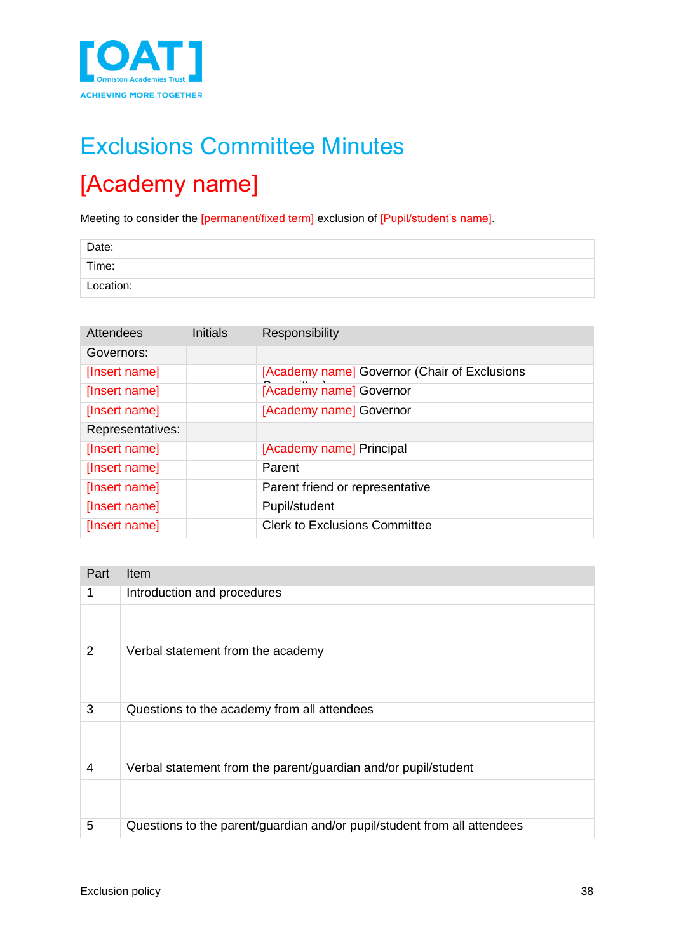

# <span id="page-37-0"></span>Exclusions Committee Minutes [Academy name]

Meeting to consider the [permanent/fixed term] exclusion of [Pupil/student's name].

| Date:     |  |
|-----------|--|
| Time:     |  |
| Location: |  |

| <b>Attendees</b> | <b>Initials</b> | <b>Responsibility</b>                        |
|------------------|-----------------|----------------------------------------------|
| Governors:       |                 |                                              |
| [Insert name]    |                 | [Academy name] Governor (Chair of Exclusions |
| [Insert name]    |                 | [Academy name] Governor                      |
| [Insert name]    |                 | [Academy name] Governor                      |
| Representatives: |                 |                                              |
| [Insert name]    |                 | [Academy name] Principal                     |
| [Insert name]    |                 | Parent                                       |
| [Insert name]    |                 | Parent friend or representative              |
| [Insert name]    |                 | Pupil/student                                |
| [Insert name]    |                 | <b>Clerk to Exclusions Committee</b>         |

| Part           | Item                                                                     |
|----------------|--------------------------------------------------------------------------|
| 1              | Introduction and procedures                                              |
|                |                                                                          |
| $\overline{2}$ | Verbal statement from the academy                                        |
|                |                                                                          |
| 3              | Questions to the academy from all attendees                              |
|                |                                                                          |
| $\overline{4}$ | Verbal statement from the parent/guardian and/or pupil/student           |
|                |                                                                          |
| 5              | Questions to the parent/guardian and/or pupil/student from all attendees |